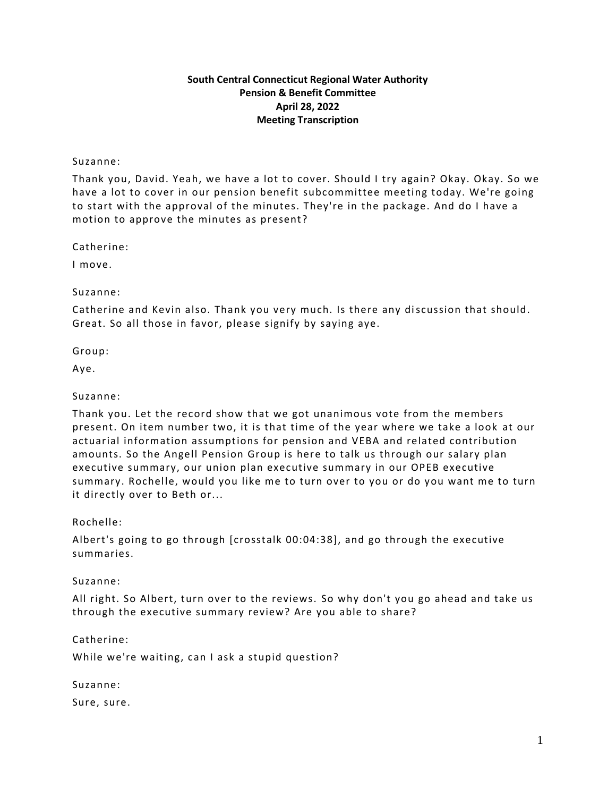### **South Central Connecticut Regional Water Authority Pension & Benefit Committee April 28, 2022 Meeting Transcription**

### Suzanne:

Thank you, David. Yeah, we have a lot to cover. Should I try again? Okay. Okay. So we have a lot to cover in our pension benefit subcommittee meeting today. We're going to start with the approval of the minutes. They're in the package. And do I have a motion to approve the minutes as present?

Catherine:

I move.

Suzanne:

Catherine and Kevin also. Thank you very much. Is there any discussion that should. Great. So all those in favor, please signify by saying aye.

Group:

Aye.

### Suzanne:

Thank you. Let the record show that we got unanimous vote from the members present. On item number two, it is that time of the year where we take a look at our actuarial information assumptions for pension and VEBA and related contribution amounts. So the Angell Pension Group is here to talk us through our salary plan executive summary, our union plan executive summary in our OPEB executive summary. Rochelle, would you like me to turn over to you or do you want me to turn it directly over to Beth or...

Rochelle:

Albert's going to go through [crosstalk 00:04:38], and go through the executive summaries.

Suzanne:

All right. So Albert, turn over to the reviews. So why don't you go ahead and take us through the executive summary review? Are you able to share?

Catherine:

While we're waiting, can I ask a stupid question?

Suzanne:

Sure, sure.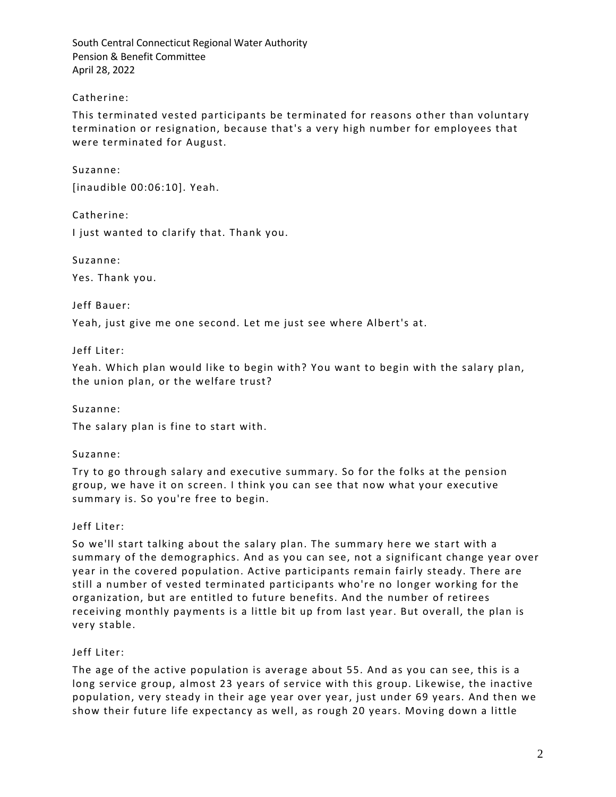## Catherine:

This terminated vested participants be terminated for reasons o ther than voluntary termination or resignation, because that's a very high number for employees that were terminated for August.

Suzanne: [inaudible 00:06:10]. Yeah.

Catherine:

I just wanted to clarify that. Thank you.

Suzanne:

Yes. Thank you.

Jeff Bauer:

Yeah, just give me one second. Let me just see where Albert's at.

Jeff Liter:

Yeah. Which plan would like to begin with? You want to begin with the salary plan, the union plan, or the welfare trust?

Suzanne:

The salary plan is fine to start with.

Suzanne:

Try to go through salary and executive summary. So for the folks at the pension group, we have it on screen. I think you can see that now what your executive summary is. So you're free to begin.

# Jeff Liter:

So we'll start talking about the salary plan. The summary here we start with a summary of the demographics. And as you can see, not a significant change year over year in the covered population. Active participants remain fairly steady. There are still a number of vested terminated participants who're no longer working for the organization, but are entitled to future benefits. And the number of retirees receiving monthly payments is a little bit up from last year. But overall, the plan is very stable.

## Jeff Liter:

The age of the active population is average about 55. And as you can see, this is a long service group, almost 23 years of service with this group. Likewise, the inactive population, very steady in their age year over year, just under 69 years. And then we show their future life expectancy as well, as rough 20 years. Moving down a little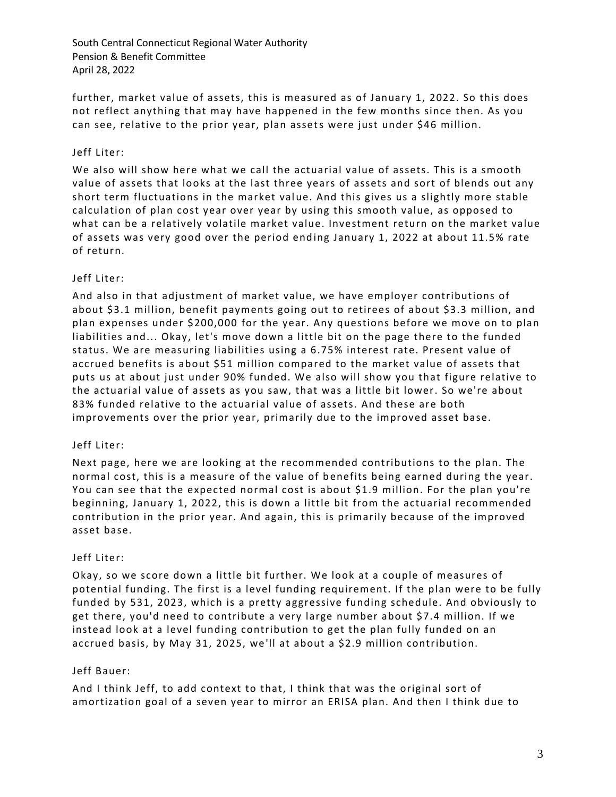further, market value of assets, this is measured as of January 1, 2022. So this does not reflect anything that may have happened in the few months since then. As you can see, relative to the prior year, plan assets were just under \$46 million.

## Jeff Liter:

We also will show here what we call the actuarial value of assets. This is a smooth value of assets that looks at the last three years of assets and sort of blends out any short term fluctuations in the market value. And this gives us a slightly more stable calculation of plan cost year over year by using this smooth value, as opposed to what can be a relatively volatile market value. Investment return on the market value of assets was very good over the period ending January 1, 2022 at about 11.5% rate of return.

## Jeff Liter:

And also in that adjustment of market value, we have employer contributions of about \$3.1 million, benefit payments going out to retirees of about \$3.3 million, and plan expenses under \$200,000 for the year. Any questions before we move on to plan liabilities and... Okay, let's move down a little bit on the page there to the funded status. We are measuring liabilities using a 6.75% interest rate. Present value of accrued benefits is about \$51 million compared to the market value of assets that puts us at about just under 90% funded. We also will show you that figure relative to the actuarial value of assets as you saw, that was a little bit lower. So we're about 83% funded relative to the actuarial value of assets. And these are both improvements over the prior year, primarily due to the improved asset base.

## Jeff Liter:

Next page, here we are looking at the recommended contributions to the plan. The normal cost, this is a measure of the value of benefits being earned during the year. You can see that the expected normal cost is about \$1.9 million. For the plan you're beginning, January 1, 2022, this is down a little bit from the actuarial recommended contribution in the prior year. And again, this is primarily because of the improved asset base.

## Jeff Liter:

Okay, so we score down a little bit further. We look at a couple of measures of potential funding. The first is a level funding requirement. If the plan were to be fully funded by 531, 2023, which is a pretty aggressive funding schedule. And obviously to get there, you'd need to contribute a very large number about \$7.4 million. If we instead look at a level funding contribution to get the plan fully funded on an accrued basis, by May 31, 2025, we 'll at about a \$2.9 million contribution.

## Jeff Bauer:

And I think Jeff, to add context to that, I think that was the original sort of amortization goal of a seven year to mirror an ERISA plan. And then I think due to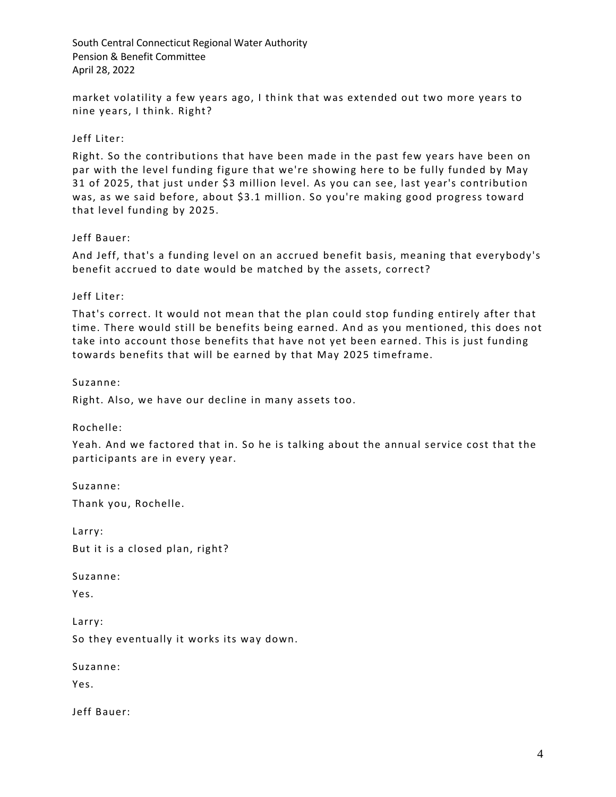market volatility a few years ago, I th ink that was extended out two more years to nine years, I think. Right?

## Jeff Liter:

Right. So the contributions that have been made in the past few years have been on par with the level funding figure that we're showing here to be fully funded by May 31 of 2025, that just under \$3 million level. As you can see, last year's contribution was, as we said before, about \$3.1 million. So you're making good progress toward that level funding by 2025.

### Jeff Bauer:

And Jeff, that's a funding level on an accrued benefit basis, meaning that everybody's benefit accrued to date would be matched by the assets, correct?

### Jeff Liter:

That's correct. It would not mean that the plan could stop funding entirely after that time. There would still be benefits being earned. An d as you mentioned, this does not take into account those benefits that have not yet been earned. This is just funding towards benefits that will be earned by that May 2025 timeframe.

Suzanne:

Right. Also, we have our decline in many assets too.

Rochelle:

Yeah. And we factored that in. So he is talking about the annual service cost that the participants are in every year.

Suzanne:

Thank you, Rochelle.

Larry: But it is a closed plan, right?

Suzanne:

Yes.

Larry: So they eventually it works its way down.

Suzanne:

Yes.

Jeff Bauer: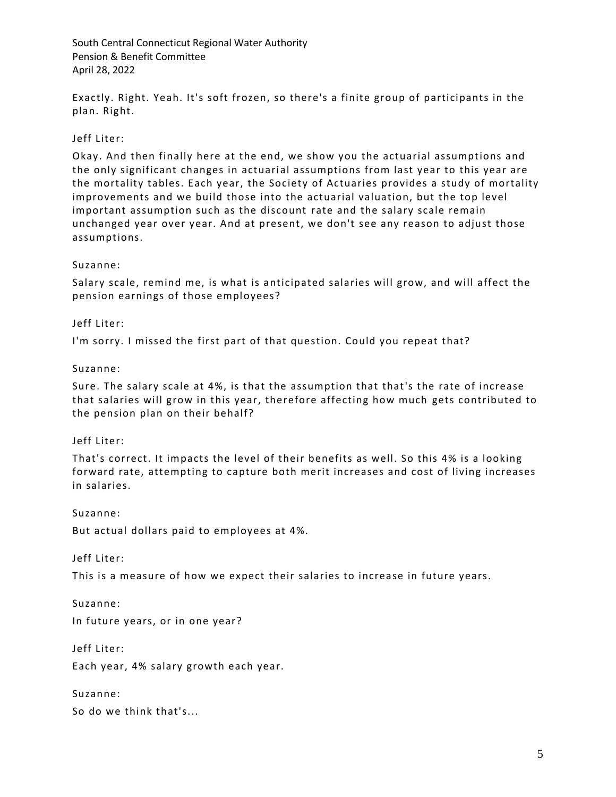Exactly. Right. Yeah. It's soft frozen, so there's a finite group of participants in the plan. Right.

### Jeff Liter:

Okay. And then finally here at the end, we show you the actuarial assumptions and the only significant changes in actuarial assumptions from last year to this year are the mortality tables. Each year, the Society of Actuaries provides a study of mortality improvements and we build those into the actuarial valuation, but the top level important assumption such as the discount rate and the salary scale remain unchanged year over year. And at present, we don't see any reason to adjust those assumptions.

#### Suzanne:

Salary scale, remind me, is what is anticipated salaries will grow, and will affect the pension earnings of those employees?

#### Jeff Liter:

I'm sorry. I missed the first part of that question. Could you repeat that?

Suzanne:

Sure. The salary scale at 4%, is that the assumption that that's the rate of increase that salaries will grow in this year, therefore affecting how much gets contributed to the pension plan on their behalf?

#### Jeff Liter:

That's correct. It impacts the level of their benefits as well. So this 4% is a looking forward rate, attempting to capture both merit increases and cost of living increases in salaries.

Suzanne:

But actual dollars paid to employees at 4%.

Jeff Liter:

This is a measure of how we expect their salaries to increase in future years.

Suzanne: In future years, or in one year?

Jeff Liter:

Each year, 4% salary growth each year.

Suzanne:

So do we think that's...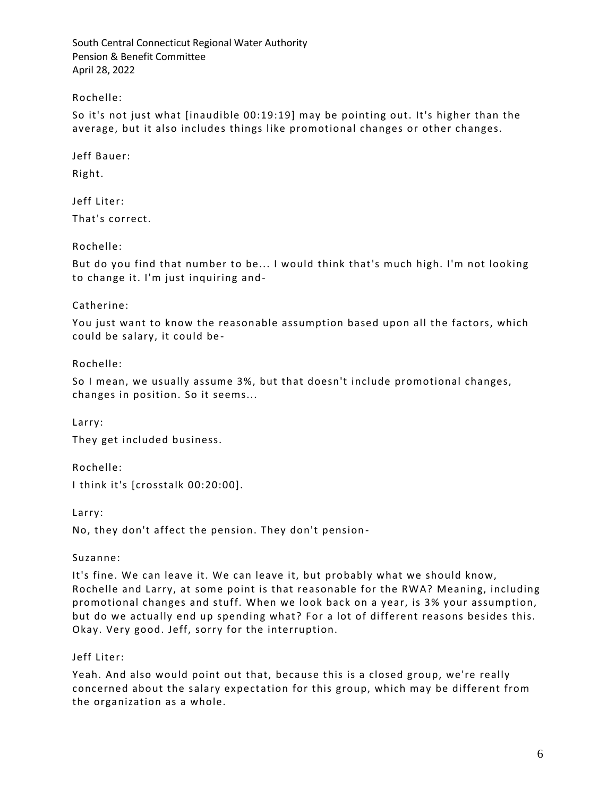Rochelle:

So it's not just what [inaudible 00:19:19] may be pointing out. It's higher than the average, but it also includes things like promotional changes or other changes.

Jeff Bauer:

Right.

Jeff Liter: That's correct.

Rochelle:

But do you find that number to be... I would think that's much high. I'm not looking to change it. I'm just inquiring and-

Catherine:

You just want to know the reasonable assumption based upon all the factors, which could be salary, it could be -

Rochelle:

So I mean, we usually assume 3%, but that doesn't include promotional changes, changes in position. So it seems...

Larry: They get included business.

Rochelle: I think it's [crosstalk 00:20:00].

Larry:

No, they don't affect the pension. They don't pension -

Suzanne:

It's fine. We can leave it. We can leave it, but probably what we should know, Rochelle and Larry, at some point is that reasonable for the RWA? Meaning, including promotional changes and stuff. When we look back on a year, is 3% your assumption, but do we actually end up spending what? For a lot of different reasons besides this. Okay. Very good. Jeff, sorry for the interruption.

Jeff Liter:

Yeah. And also would point out that, because this is a closed group, we're really concerned about the salary expectation for this group, which may be different from the organization as a whole.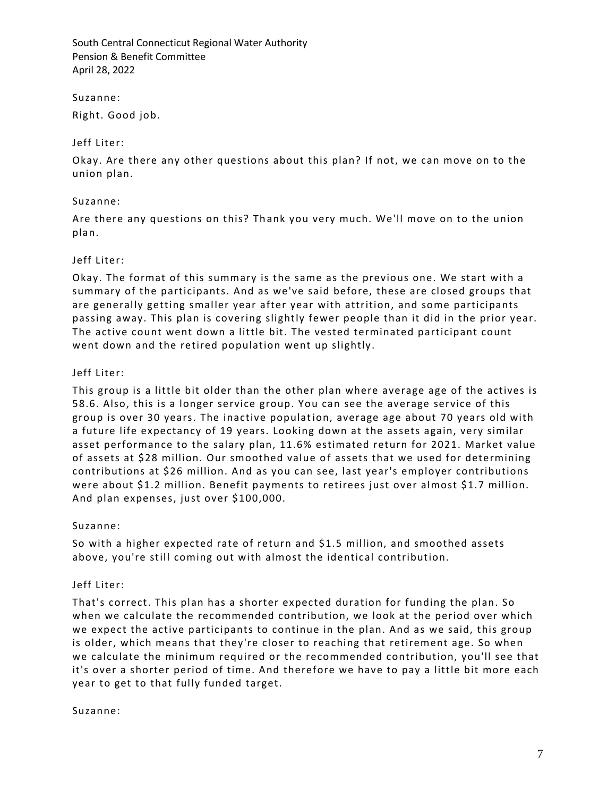Suzanne:

Right. Good job.

### Jeff Liter:

Okay. Are there any other questions about this plan? If not, we can move on to the union plan.

### Suzanne:

Are there any questions on this? Thank you very much. We'll move on to the union plan.

### Jeff Liter:

Okay. The format of this summary is the same as the previous one. We start with a summary of the participants. And as we've said before, these are closed groups that are generally getting smaller year after year with attrition, and some participants passing away. This plan is covering slightly fewer people than it did in the prior year. The active count went down a little bit. The vested terminated participant count went down and the retired population went up slightly.

### Jeff Liter:

This group is a little bit older than the other plan where average age of the actives is 58.6. Also, this is a longer service group. You can see the average service of this group is over 30 years. The inactive population, average age about 70 years old with a future life expectancy of 19 years. Looking down at the assets again, very similar asset performance to the salary plan, 11.6% estimated return for 2021. Market value of assets at \$28 million. Our smoothed value of assets that we used for determining contributions at \$26 million. And as you can see, last year's employer contributions were about \$1.2 million. Benefit payments to retirees just over almost \$1.7 million. And plan expenses, just over \$100,000.

## Suzanne:

So with a higher expected rate of return and \$1.5 million, and smoothed assets above, you're still coming out with almost the identical contribution.

## Jeff Liter:

That's correct. This plan has a shorter expected duration for funding the plan. So when we calculate the recommended contribution, we look at the period over which we expect the active participants to continue in the plan. And as we said, this group is older, which means that they're closer to reaching that retirement age. So when we calculate the minimum required or the recommended contribution, you'll see that it's over a shorter period of time. And therefore we have to pay a little bit more each year to get to that fully funded target.

#### Suzanne: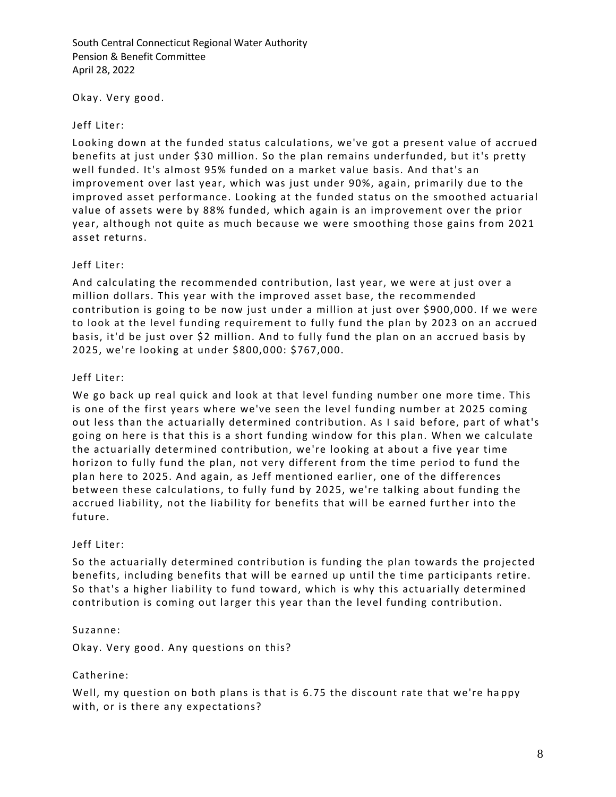Okay. Very good.

### Jeff Liter:

Looking down at the funded status calculations, we've got a present value of accrued benefits at just under \$30 million. So the plan remains underfunded, but it's pretty well funded. It's almost 95% funded on a market value basis. And that's an improvement over last year, which was just under 90%, again, primarily due to the improved asset performance. Looking at the funded status on the smoothed actuarial value of assets were by 88% funded, which again is an improvement over the prior year, although not quite as much because we were smoothing those gains from 2021 asset returns.

## Jeff Liter:

And calculating the recommended contribution, last year, we were at just over a million dollars. This year with the improved asset base, the recommended contribution is going to be now just un der a million at just over \$900,000. If we were to look at the level funding requirement to fully fund the plan by 2023 on an accrued basis, it'd be just over \$2 million. And to fully fund the plan on an accrued basis by 2025, we're looking at under \$800,000: \$767,000.

### Jeff Liter:

We go back up real quick and look at that level funding number one more time. This is one of the first years where we've seen the level funding number at 2025 coming out less than the actuarially determined contribution. As I said before, part of what's going on here is that this is a short funding window for this plan. When we calculate the actuarially determined contribution, we're looking at about a five year time horizon to fully fund the plan, not very different from the time period to fund the plan here to 2025. And again, as Jeff mentioned earlier, one of the differences between these calculations, to fully fund by 2025, we're talking about funding the accrued liability, not the liability for benefits that will be earned further into the future.

## Jeff Liter:

So the actuarially determined contribution is funding the plan towards the projected benefits, including benefits that will be earned up until the time participants retire. So that's a higher liability to fund toward, which is why this actuarially determined contribution is coming out larger this year than the level funding contribution.

#### Suzanne:

Okay. Very good. Any questions on this?

## Catherine:

Well, my question on both plans is that is 6.75 the discount rate that we're ha ppy with, or is there any expectations?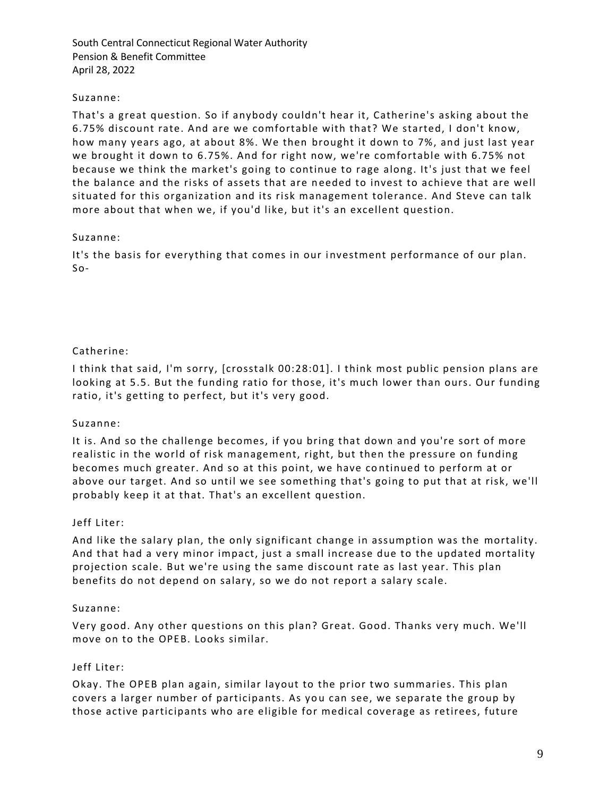### Suzanne:

That's a great question. So if anybody couldn't hear it, Catherine's asking about the 6.75% discount rate. And are we comfortable with that? We started, I don't know, how many years ago, at about 8%. We then brought it down to 7%, and just last year we brought it down to 6.75%. And for right now, we're comfortable with 6.75% not because we think the market's going to continue to rage along. It's just that we feel the balance and the risks of assets that are n eeded to invest to achieve that are well situated for this organization and its risk management tolerance. And Steve can talk more about that when we, if you'd like, but it's an excellent question.

### Suzanne:

It's the basis for everything that comes in our investment performance of our plan. So-

## Catherine:

I think that said, I'm sorry, [crosstalk 00:28:01]. I think most public pension plans are looking at 5.5. But the funding ratio for those, it's much lower than ours. Our funding ratio, it's getting to perfect, but it's very good.

## Suzanne:

It is. And so the challenge becomes, if you bring that down and you're sort of more realistic in the world of risk management, right, but then the pressure on funding becomes much greater. And so at this point, we have continued to perform at or above our target. And so until we see something that's going to put that at risk, we'll probably keep it at that. That's an excellent question.

## Jeff Liter:

And like the salary plan, the only significant change in assumption was the mortality. And that had a very minor impact, just a small increase due to the updated mortality projection scale. But we're using the same discount rate as last year. This plan benefits do not depend on salary, so we do not report a salary scale.

#### Suzanne:

Very good. Any other questions on this plan? Great. Good. Thanks very much. We'll move on to the OPEB. Looks similar.

#### Jeff Liter:

Okay. The OPEB plan again, similar layout to the prior two summaries. This plan covers a larger number of participants. As you can see, we separate the group by those active participants who are eligible for medical coverage as retirees, future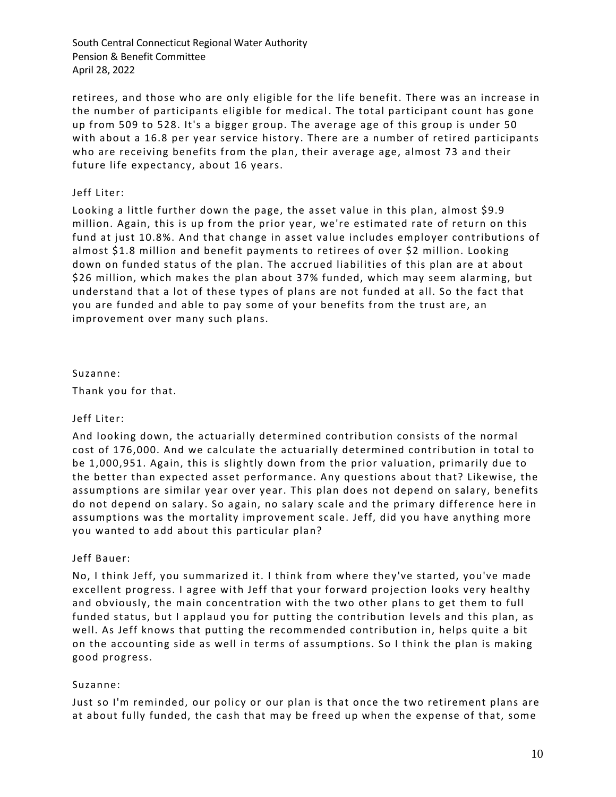retirees, and those who are only eligible for the life benefit. There was an increase in the number of participants eligible for medical . The total participant count has gone up from 509 to 528. It's a bigger group. The average age of this group is under 50 with about a 16.8 per year service history. There are a number of retired participants who are receiving benefits from the plan, their average age, almost 73 and their future life expectancy, about 16 years.

### Jeff Liter:

Looking a little further down the page, the asset value in this plan, almost \$9.9 million. Again, this is up from the prior year, we're estimated rate of return on this fund at just 10.8%. And that change in asset value includes employer contributions of almost \$1.8 million and benefit payments to retirees of over \$2 million. Looking down on funded status of the plan. The accrued liabilities of this plan are at about \$26 million, which makes the plan about 37% funded, which may seem alarming, but understand that a lot of these types of plans are not funded at all. So the fact that you are funded and able to pay some of your benefits from the trust are, an improvement over many such plans.

#### Suzanne:

Thank you for that.

#### Jeff Liter:

And looking down, the actuarially determined contribution consists of the normal cost of 176,000. And we calculate the actuarially determined contribution in total to be 1,000,951. Again, this is slightly down from the prior valuation, primarily due to the better than expected asset performance. Any questions about that? Likewise, the assumptions are similar year over year. This plan does not depend on salary, benefits do not depend on salary. So again, no salary scale and the primary difference here in assumptions was the mortality improvement scale. Jeff, did you have anything more you wanted to add about this particular plan?

## Jeff Bauer:

No, I think Jeff, you summarized it. I think from where they've started, you've made excellent progress. I agree with Jeff that your forward projection looks very healthy and obviously, the main concentration with the two other plans to get them to full funded status, but I applaud you for putting the contribution levels and this plan, as well. As Jeff knows that putting the recommended contribution in, helps quite a bit on the accounting side as well in terms of assumptions. So I think the plan is making good progress.

#### Suzanne:

Just so I'm reminded, our policy or our plan is that once the two retirement plans are at about fully funded, the cash that may be freed up when the expense of that, some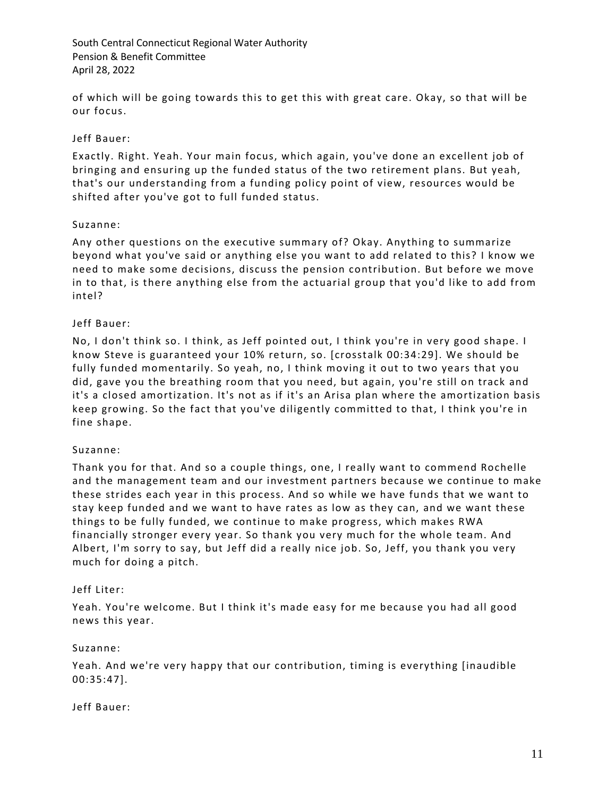of which will be going towards this to get this with great care. Okay, so that will be our focus.

### Jeff Bauer:

Exactly. Right. Yeah. Your main focus, which again, you've done an excellent job of bringing and ensuring up the funded status of the two retirement plans. But yeah, that's our understanding from a funding policy point of view, resources would be shifted after you've got to full funded status.

#### Suzanne:

Any other questions on the executive summary of? Okay. Anything to summarize beyond what you've said or anything else you want to add related to this? I know we need to make some decisions, discuss the pension contribution. But before we move in to that, is there anything else from the actuarial group that you'd like to add from intel?

### Jeff Bauer:

No, I don't think so. I think, as Jeff pointed out, I think you're in very good shape. I know Steve is guaranteed your 10% re turn, so. [crosstalk 00:34:29]. We should be fully funded momentarily. So yeah, no, I think moving it out to two years that you did, gave you the breathing room that you need, but again, you're still on track and it's a closed amortization. It's not as if it's an Arisa plan where the amortization basis keep growing. So the fact that you've diligently committed to that, I think you're in fine shape.

#### Suzanne:

Thank you for that. And so a couple things, one, I really want to commend Rochelle and the management team and our investment partners because we continue to make these strides each year in this process. And so while we have funds that we want to stay keep funded and we want to have rates as low as they can, and we want these things to be fully funded, we continue to make progress, which makes RWA financially stronger every year. So thank you very much for the whole team. And Albert, I'm sorry to say, but Jeff did a really nice job. So, Jeff, you thank you very much for doing a pitch.

#### Jeff Liter:

Yeah. You're welcome. But I think it's made easy for me because you had all good news this year.

#### Suzanne:

Yeah. And we're very happy that our contribution, timing is everything [inaudible 00:35:47].

Jeff Bauer: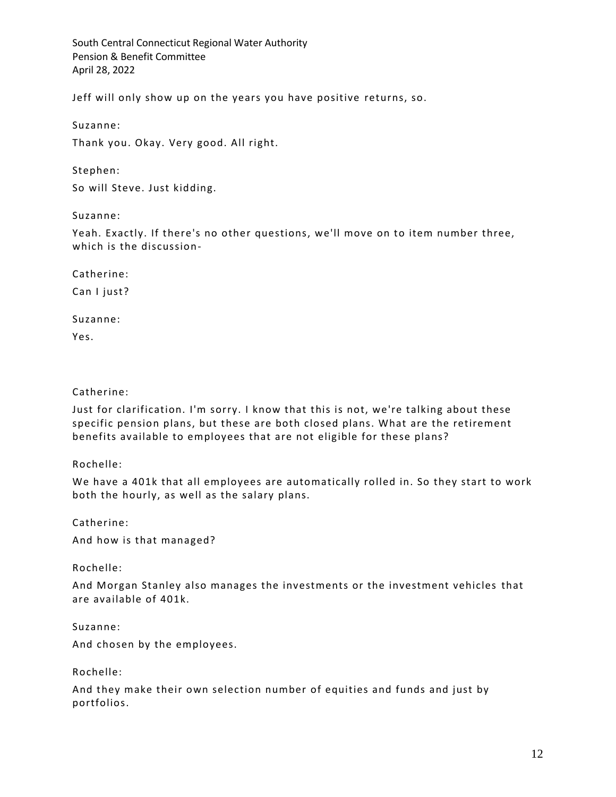Jeff will only show up on the years you have positive returns, so.

Suzanne:

Thank you. Okay. Very good. All right.

Stephen:

So will Steve. Just kidding.

Suzanne:

Yeah. Exactly. If there's no other questions, we'll move on to item number three, which is the discussion-

Catherine:

Can I just?

Suzanne:

Yes.

Catherine:

Just for clarification. I'm sorry. I know that this is not, we're talking about these specific pension plans, but these are both closed plans. What are the retirement benefits available to employees that are not eligible for these plans?

Rochelle:

We have a 401k that all employees are automatically rolled in. So they start to work both the hourly, as well as the salary plans.

Catherine:

And how is that managed?

Rochelle:

And Morgan Stanley also manages the investments or the investment vehicles that are available of 401k.

Suzanne:

And chosen by the employees.

Rochelle:

And they make their own selection number of equities and funds and just by portfolios.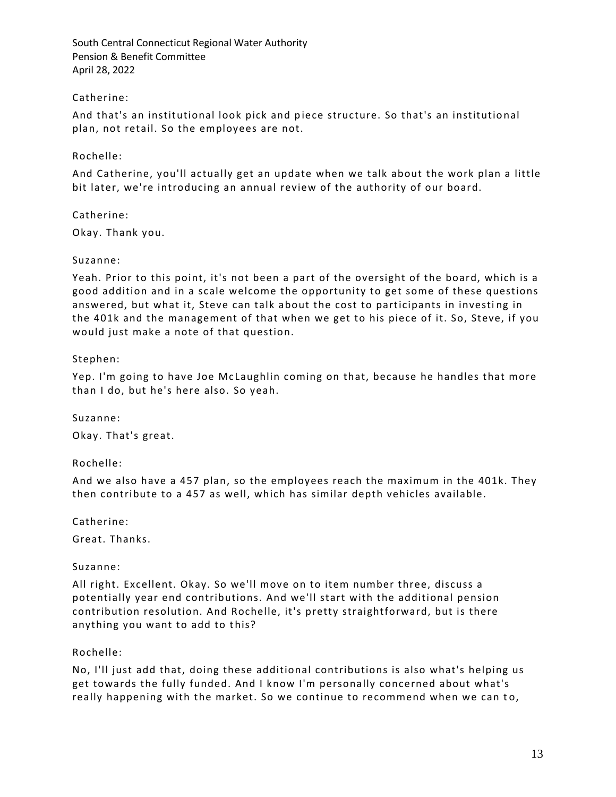## Catherine:

And that's an institutional look pick and piece structure. So that's an institutional plan, not retail. So the employees are not.

## Rochelle:

And Catherine, you'll actually get an update when we talk about the work plan a little bit later, we're introducing an annual review of the authority of our board.

## Catherine:

Okay. Thank you.

### Suzanne:

Yeah. Prior to this point, it's not been a part of the oversight of the board, which is a good addition and in a scale welcome the opportunity to get some of these questions answered, but what it, Steve can talk about the cost to participants in investing in the 401k and the management of that when we get to his piece of it. So, Steve, if you would just make a note of that question.

### Stephen:

Yep. I'm going to have Joe McLaughlin coming on that, because he handles that more than I do, but he's here also. So yeah.

Suzanne:

Okay. That's great.

Rochelle:

And we also have a 457 plan, so the employees reach the maximum in the 401k. They then contribute to a 457 as well, which has similar depth vehicles available.

Catherine:

Great. Thanks.

## Suzanne:

All right. Excellent. Okay. So we'll move on to item number three, discuss a potentially year end contributions. And we'll start with the additional pension contribution resolution. And Rochelle, it's pretty straightforward, but is there anything you want to add to this?

## Rochelle:

No, I'll just add that, doing these additional contributions is also what's helping us get towards the fully funded. And I know I'm personally concerned about what's really happening with the market. So we continue to recommend when we can to,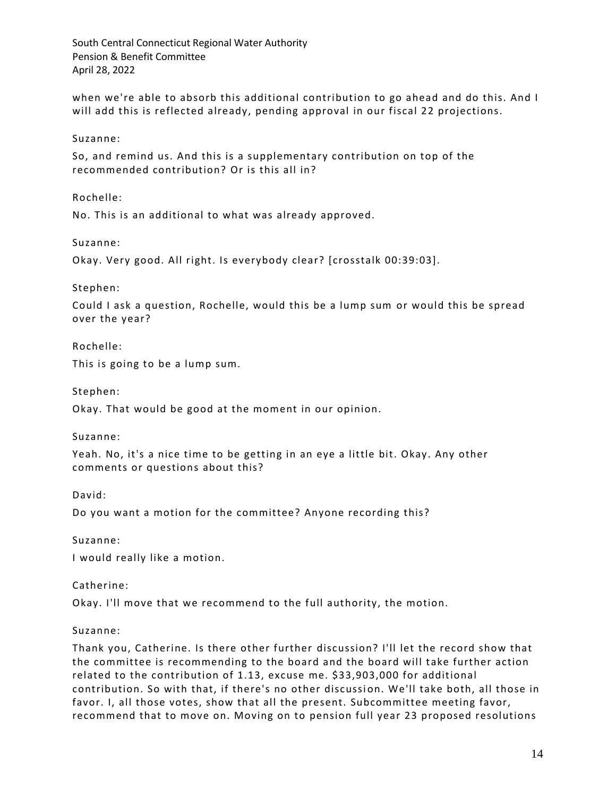when we're able to absorb this additional contribution to go ahead and do this. And I will add this is reflected already, pending approval in our fiscal 22 projections.

Suzanne:

So, and remind us. And this is a supplementary contribution on top of the recommended contribution? Or is this all in?

Rochelle:

No. This is an additional to what was already approved.

Suzanne:

Okay. Very good. All right. Is everybody clear? [crosstalk 00:39:03].

Stephen:

Could I ask a question, Rochelle, would this be a lump sum or would this be spread over the year?

Rochelle:

This is going to be a lump sum.

Stephen:

Okay. That would be good at the moment in our opinion.

Suzanne:

Yeah. No, it's a nice time to be getting in an eye a little bit. Okay. Any other comments or questions about this?

David:

Do you want a motion for the committee? Anyone recording this?

Suzanne:

I would really like a motion.

Catherine:

Okay. I'll move that we recommend to the full authority, the motion.

#### Suzanne:

Thank you, Catherine. Is there other further discussion? I'll let the record show that the committee is recommending to the board and the board will take further action related to the contribution of 1.13, excuse me. \$33,903,000 for additional contribution. So with that, if there's no other discussion. We'll take both, all those in favor. I, all those votes, show that all the present. Subcommittee meeting favor, recommend that to move on. Moving on to pension full year 23 proposed resolutions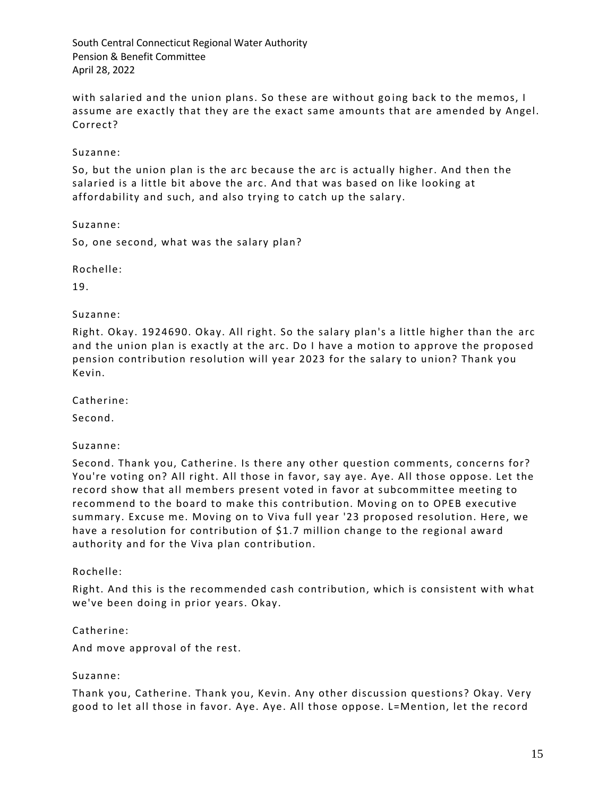with salaried and the union plans. So these are without going back to the memos, I assume are exactly that they are the exact same amounts that are amended by Angel. Correct?

Suzanne:

So, but the union plan is the arc because the arc is actually higher. And then the salaried is a little bit above the arc. And that was based on like looking at affordability and such, and also trying to catch up the salary.

Suzanne:

So, one second, what was the salary plan?

Rochelle:

19.

Suzanne:

Right. Okay. 1924690. Okay. All right. So the salary plan's a little higher than the arc and the union plan is exactly at the arc. Do I have a motion to approve the proposed pension contribution resolution will year 2023 for the salary to union? Thank you Kevin.

Catherine:

Second.

Suzanne:

Second. Thank you, Catherine. Is there any other question comments, concerns for? You're voting on? All right. All those in favor, say aye. Aye. All those oppose. Let the record show that all members present voted in favor at subcommittee meeting to recommend to the board to make this contribution. Moving on to OPEB executive summary. Excuse me. Moving on to Viva full year '23 proposed resolution. Here, we have a resolution for contribution of \$1.7 million change to the regional award authority and for the Viva plan contribution.

Rochelle:

Right. And this is the recommended cash contribution, which is consistent with what we've been doing in prior years. Okay.

Catherine:

And move approval of the rest.

#### Suzanne:

Thank you, Catherine. Thank you, Kevin. Any other discussion questions? Okay. Very good to let all those in favor. Aye. Aye. All those oppose. L=Mention, let the record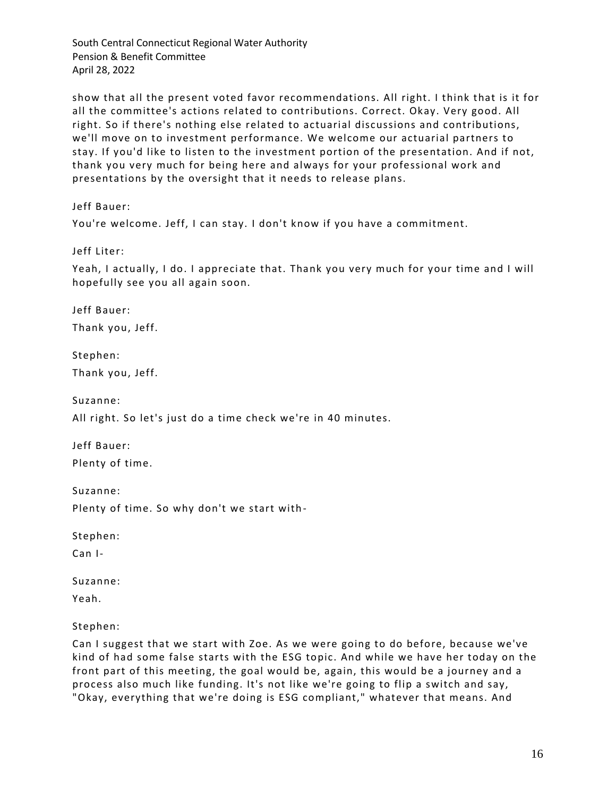show that all the present voted favor recommendations. All right. I think that is it for all the committee's actions related to contributions. Correct. Okay. Very good. All right. So if there's nothing else related to actuarial discussions and contributions, we'll move on to investment performance. We welcome our actuarial partners to stay. If you'd like to listen to the investment portion of the presentation. And if not, thank you very much for being here and always for your professional work and presentations by the oversight that it needs to release plans.

Jeff Bauer:

You're welcome. Jeff, I can stay. I don't know if you have a commitment.

Jeff Liter:

Yeah, I actually, I do. I appreciate that. Thank you very much for your time and I will hopefully see you all again soon.

Jeff Bauer:

Thank you, Jeff.

Stephen:

Thank you, Jeff.

Suzanne:

All right. So let's just do a time check we're in 40 minutes.

Jeff Bauer: Plenty of time.

Suzanne:

Plenty of time. So why don't we start with-

Stephen:

Can I-

Suzanne:

Yeah.

Stephen:

Can I suggest that we start with Zoe. As we were going to do before, because we've kind of had some false starts with the ESG topic. And while we have her today on the front part of this meeting, the goal would be, again, this would be a journey and a process also much like funding. It's not like we're going to flip a switch and say, "Okay, everything that we're doing is ESG compliant," whatever that means. And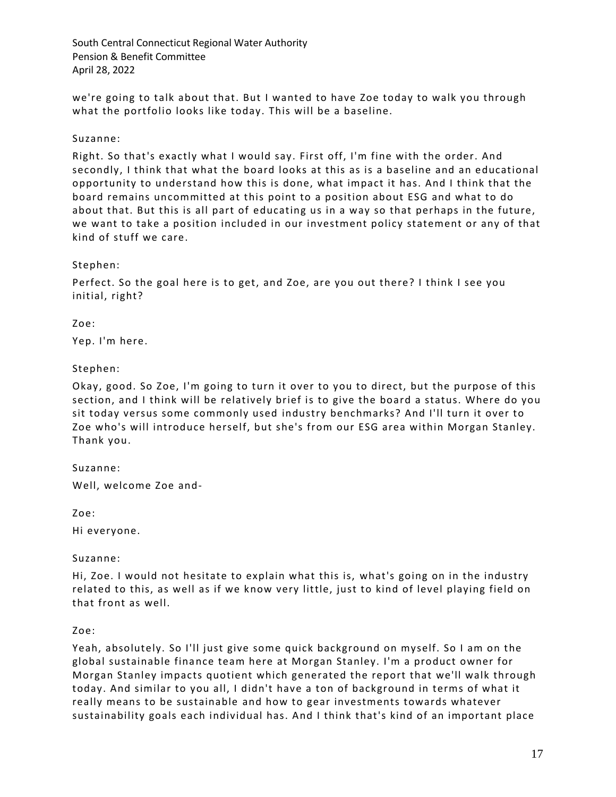we're going to talk about that. But I wanted to have Zoe today to walk you through what the portfolio looks like today. This will be a baseline.

### Suzanne:

Right. So that's exactly what I would say. First off, I'm fine with the order. And secondly, I think that what the board looks at this as is a baseline and an educational opportunity to understand how this is done, what impact it has. And I think that the board remains uncommitted at this point to a position about ESG and what to do about that. But this is all part of educating us in a way so that perhaps in the future, we want to take a position included in our investment policy statement or any of that kind of stuff we care.

#### Stephen:

Perfect. So the goal here is to get, and Zoe, are you out there? I think I see you initial, right?

### Zoe:

Yep. I'm here.

## Stephen:

Okay, good. So Zoe, I'm going to turn it over to you to direct, but the purpose of this section, and I think will be relatively brief is to give the board a status. Where do you sit today versus some commonly used industry benchmarks? And I'll turn it over to Zoe who's will introduce herself, but she's from our ESG area within Morgan Stanley. Thank you.

Suzanne:

Well, welcome Zoe and-

Zoe:

Hi everyone.

#### Suzanne:

Hi, Zoe. I would not hesitate to explain what this is, what's going on in the industry related to this, as well as if we know very little, just to kind of level playing field on that front as well.

#### Zoe:

Yeah, absolutely. So I'll just give some quick background on myself. So I am on the global sustainable finance team here at Morgan Stanley. I'm a product owner for Morgan Stanley impacts quotient which generated the report that we'll walk through today. And similar to you all, I didn't have a ton of background in terms of what it really means to be sustainable and how to gear investments towards whatever sustainability goals each individual has. And I think that's kind of an important place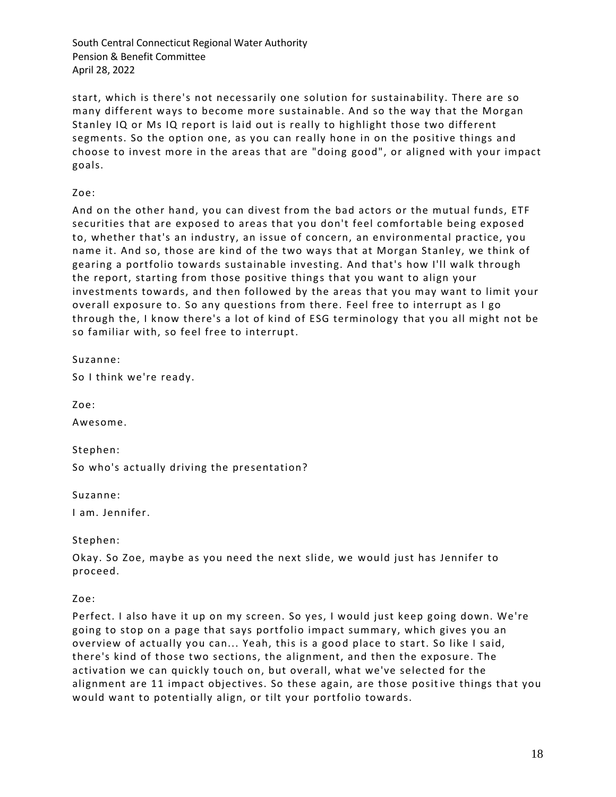start, which is there's not necessarily one solution for sustainability. There are so many different ways to become more sustainable. And so the way that the Morgan Stanley IQ or Ms IQ report is laid out is really to highlight those two different segments. So the option one, as you can really hone in on the positive things and choose to invest more in the areas that are "doing good", or aligned with your impact goals.

Zoe:

And on the other hand, you can divest from the bad actors or the mutual funds, ETF securities that are exposed to areas that you don't feel comfortable being exposed to, whether that's an industry, an issue of concern, an environmental practice, you name it. And so, those are kind of the two ways that at Morgan Stanley, we think of gearing a portfolio towards sustainable investing. And that's how I'll walk through the report, starting from those positive things that you want to align your investments towards, and then followed by the areas that you may want to limit your overall exposure to. So any questions from there. Feel free to interrupt as I go through the, I know there's a lot of kind of ESG terminology that you all might not be so familiar with, so feel free to interrupt.

Suzanne:

So I think we're ready.

Zoe:

Awesome.

Stephen:

So who's actually driving the presentation?

Suzanne:

I am. Jennifer.

Stephen:

Okay. So Zoe, maybe as you need the next slide, we would just has Jennifer to proceed.

Zoe:

Perfect. I also have it up on my screen. So yes, I would just keep going down. We're going to stop on a page that says portfolio impact summary, which gives you an overview of actually you can... Yeah, this is a good place to start. So like I said, there's kind of those two sections, the alignment, and then the exposure. The activation we can quickly touch on, but overall, what we've selected for the alignment are 11 impact objectives. So these again, are those positive things that you would want to potentially align, or tilt your portfolio towards.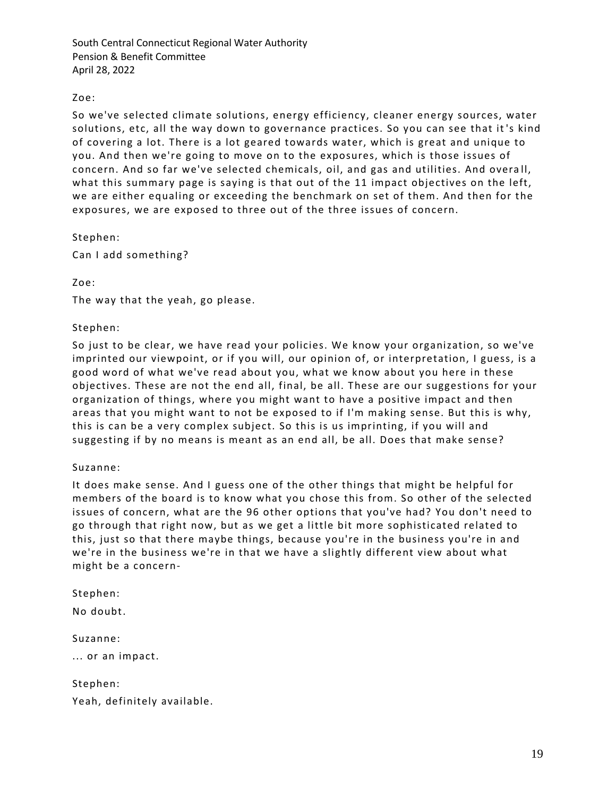## Zoe:

So we've selected climate solutions, energy efficiency, cleaner energy sources, water solutions, etc, all the way down to governance practices. So you can see that it 's kind of covering a lot. There is a lot geared towards water, which is great and unique to you. And then we're going to move on to the exposures, which is those issues of concern. And so far we've selected chemicals, oil, and gas and utilities. And overa ll, what this summary page is saying is that out of the 11 impact objectives on the left, we are either equaling or exceeding the benchmark on set of them. And then for the exposures, we are exposed to three out of the three issues of concern.

Stephen:

Can I add something?

Zoe:

The way that the yeah, go please.

#### Stephen:

So just to be clear, we have read your policies. We know your organization, so we've imprinted our viewpoint, or if you will, our opinion of, or interpretation, I guess, is a good word of what we've read about you, what we know about you here in these objectives. These are not the end all, final, be all. These are our suggestions for your organization of things, where you might want to have a positive impact and then areas that you might want to not be exposed to if I'm making sense. But this is why, this is can be a very complex subject. So this is us imprinting, if you will and suggesting if by no means is meant as an end all, be all. Does that make sense?

#### Suzanne:

It does make sense. And I guess one of the other things that might be helpful for members of the board is to know what you chose this from. So other of the selected issues of concern, what are the 96 other options that you've had? You don't need to go through that right now, but as we get a little bit more sophisticated related to this, just so that there maybe things, because you're in the business you're in and we're in the business we're in that we have a slightly different view about what might be a concern-

Stephen:

No doubt.

Suzanne:

... or an impact.

Stephen: Yeah, definitely available.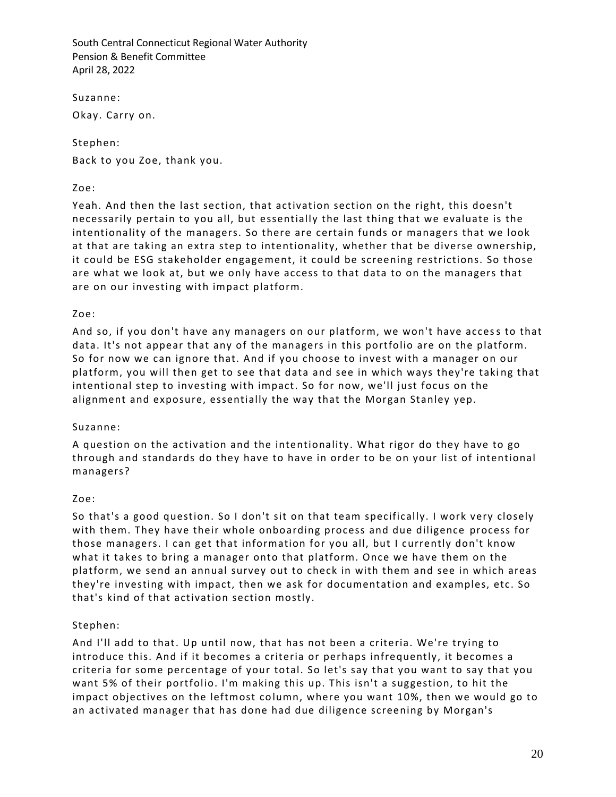Suzanne:

Okay. Carry on.

## Stephen:

Back to you Zoe, thank you.

### Zoe:

Yeah. And then the last section, that activation section on the right, this doesn't necessarily pertain to you all, but essentially the last thing that we evaluate is the intentionality of the managers. So there are certain funds or managers that we look at that are taking an extra step to intentionality, whether that be diverse ownership, it could be ESG stakeholder engagement, it could be screening restrictions. So those are what we look at, but we only have access to that data to on the managers that are on our investing with impact platform.

### Zoe:

And so, if you don't have any managers on our platform, we won't have access to that data. It's not appear that any of the managers in this portfolio are on the platform. So for now we can ignore that. And if you choose to invest with a manager on our platform, you will then get to see that data and see in which ways they're taking that intentional step to investing with impact. So for now, we'll just focus on the alignment and exposure, essentially the way that the Morgan Stanley yep.

#### Suzanne:

A question on the activation and the intentionality. What rigor do they have to go through and standards do they have to have in order to be on your list of intentional managers?

## Zoe:

So that's a good question. So I don't sit on that team specifically. I work very closely with them. They have their whole onboarding process and due diligence process for those managers. I can get that information for you all, but I currently don't know what it takes to bring a manager onto that platform. Once we have them on the platform, we send an annual survey out to check in with them and see in which areas they're investing with impact, then we ask for documentation and examples, etc. So that's kind of that activation section mostly.

## Stephen:

And I'll add to that. Up until now, that has not been a criteria. We're trying to introduce this. And if it becomes a criteria or perhaps infrequently, it becomes a criteria for some percentage of your total. So let's say that you want to say that you want 5% of their portfolio. I'm making this up. This isn't a suggestion, to hit the impact objectives on the leftmost column, where you want 10%, then we would go to an activated manager that has done had due diligence screening by Morgan's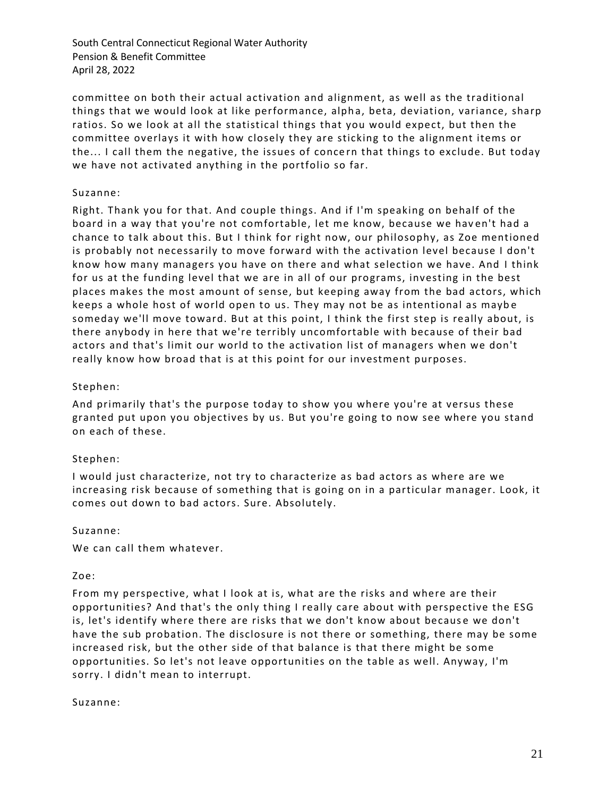committee on both their actual activation and alignment, as well as the traditional things that we would look at like performance, alpha, beta, deviation, variance, sharp ratios. So we look at all the statistical things that you would expect, but then the committee overlays it with how closely they are sticking to the alignment items or the... I call them the negative, the issues of concern that things to exclude. But today we have not activated anything in the portfolio so far.

### Suzanne:

Right. Thank you for that. And couple things. And if I'm speaking on behalf of the board in a way that you're not comfortable, let me know, because we haven't had a chance to talk about this. But I think for right now, our philosophy, as Zoe mentioned is probably not necessarily to move forward with the activation level because I don't know how many managers you have on there and what selection we have. And I think for us at the funding level that we are in all of our programs, investing in the best places makes the most amount of sense, but keeping away from the bad actors, which keeps a whole host of world open to us. They may not be as intentional as mayb e someday we'll move toward. But at this point, I think the first step is really about, is there anybody in here that we're terribly uncomfortable with because of their bad actors and that's limit our world to the activation list of managers when we don't really know how broad that is at this point for our investment purposes.

### Stephen:

And primarily that's the purpose today to show you where you're at versus these granted put upon you objectives by us. But you're going to now see where you stand on each of these.

#### Stephen:

I would just characterize, not try to characterize as bad actors as where are we increasing risk because of something that is going on in a particular manager. Look, it comes out down to bad actors. Sure. Absolutely.

#### Suzanne:

We can call them whatever.

#### Zoe:

From my perspective, what I look at is, what are the risks and where are their opportunities? And that's the only thing I really care about with perspective the ESG is, let's identify where there are risks that we don't know about because we don't have the sub probation. The disclosure is not there or something, there may be some increased risk, but the other side of that balance is that there might be some opportunities. So let's not leave opportunities on the table as well. Anyway, I'm sorry. I didn't mean to interrupt.

#### Suzanne: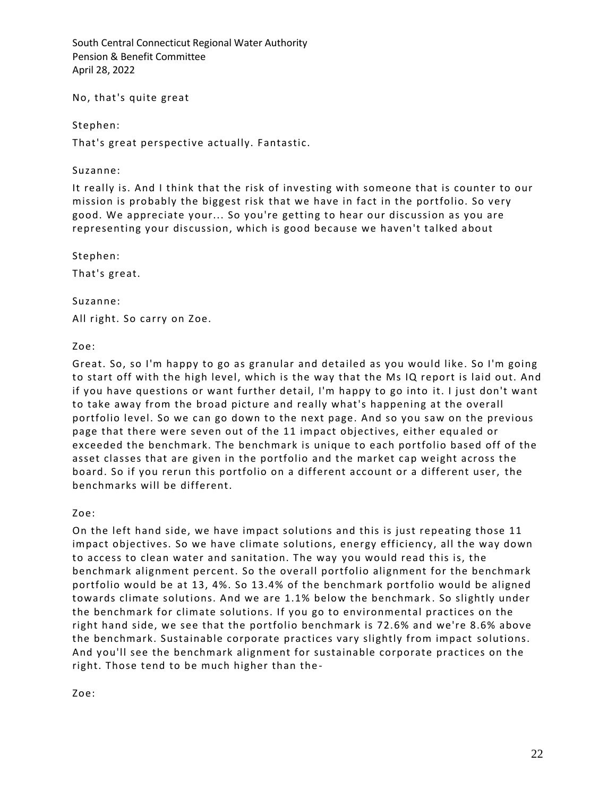No, that's quite great

Stephen:

That's great perspective actually. Fantastic.

Suzanne:

It really is. And I think that the risk of investing with someone that is counter to our mission is probably the biggest risk that we have in fact in the portfolio. So very good. We appreciate your... So you're getting to hear our discussion as you are representing your discussion, which is good because we haven't talked about

Stephen:

That's great.

Suzanne: All right. So carry on Zoe.

Zoe:

Great. So, so I'm happy to go as granular and detailed as you would like. So I'm going to start off with the high level, which is the way that the Ms IQ report is laid out. And if you have questions or want further detail, I'm happy to go into it. I just don't want to take away from the broad picture and really what's happening at the overall portfolio level. So we can go down to the next page. And so you saw on the previous page that there were seven out of the 11 impact objectives, either equaled or exceeded the benchmark. The benchmark is unique to each portfolio based off of the asset classes that are given in the portfolio and the market cap weight across the board. So if you rerun this portfolio on a different account or a different user, the benchmarks will be different.

Zoe:

On the left hand side, we have impact solutions and this is just repeating those 11 impact objectives. So we have climate solutions, energy efficiency, all the way down to access to clean water and sanitation. The way you would read this is, the benchmark alignment percent. So the overall portfolio alignment for the benchmark portfolio would be at 13, 4%. So 13.4% of the benchmark portfolio would be aligned towards climate solutions. And we are 1.1% below the benchmark . So slightly under the benchmark for climate solutions. If you go to environmental practices on the right hand side, we see that the portfolio benchmark is 72.6% and we're 8.6% above the benchmark. Sustainable corporate practices vary slightly from impact solutions. And you'll see the benchmark alignment for sustainable corporate practices on the right. Those tend to be much higher than the-

Zoe: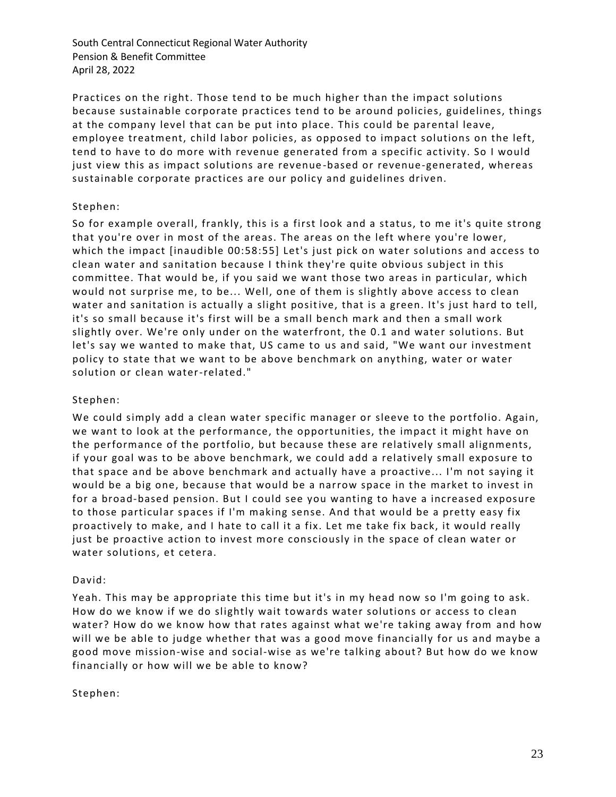Practices on the right. Those tend to be much higher than the impact solutions because sustainable corporate practices tend to be around policies, guidelines, things at the company level that can be put into place. This could be parental leave, employee treatment, child labor policies, as opposed to impact solutions on the left, tend to have to do more with revenue generated from a specific activity. So I would just view this as impact solutions are revenue -based or revenue-generated, whereas sustainable corporate practices are our policy and guidelines driven.

### Stephen:

So for example overall, frankly, this is a first look and a status, to me it's quite strong that you're over in most of the areas. The areas on the left where you're lower, which the impact [inaudible 00:58:55] Let's just pick on water solutions and access to clean water and sanitation because I th ink they're quite obvious subject in this committee. That would be, if you said we want those two areas in particular, which would not surprise me, to be... Well, one of them is slightly above access to clean water and sanitation is actually a slight positive, that is a green. It's just hard to tell, it's so small because it's first will be a small bench mark and then a small work slightly over. We're only under on the waterfront, the 0.1 and water solutions. But let's say we wanted to make that, US came to us and said, "We want our investment policy to state that we want to be above benchmark on anything, water or water solution or clean water-related."

### Stephen:

We could simply add a clean water specific manager or sleeve to the portfolio. Again, we want to look at the performance, the opportunities, the impact it might have on the performance of the portfolio, but because these are relatively small alignments, if your goal was to be above benchmark, we could add a relatively small exposure to that space and be above benchmark and actually have a proactive... I'm not saying it would be a big one, because that would be a narrow space in the market to invest in for a broad-based pension. But I could see you wanting to have a increased exposure to those particular spaces if I'm making sense. And that would be a pretty easy fix proactively to make, and I hate to call it a fix. Let me take fix back, it would really just be proactive action to invest more consciously in the space of clean water or water solutions, et cetera.

#### David:

Yeah. This may be appropriate this time but it's in my head now so I'm going to ask. How do we know if we do slightly wait towards water solutions or access to clean water? How do we know how that rates against what we're taking away from and how will we be able to judge whether that was a good move financially for us and maybe a good move mission-wise and social-wise as we're talking about? But how do we know financially or how will we be able to know?

#### Stephen: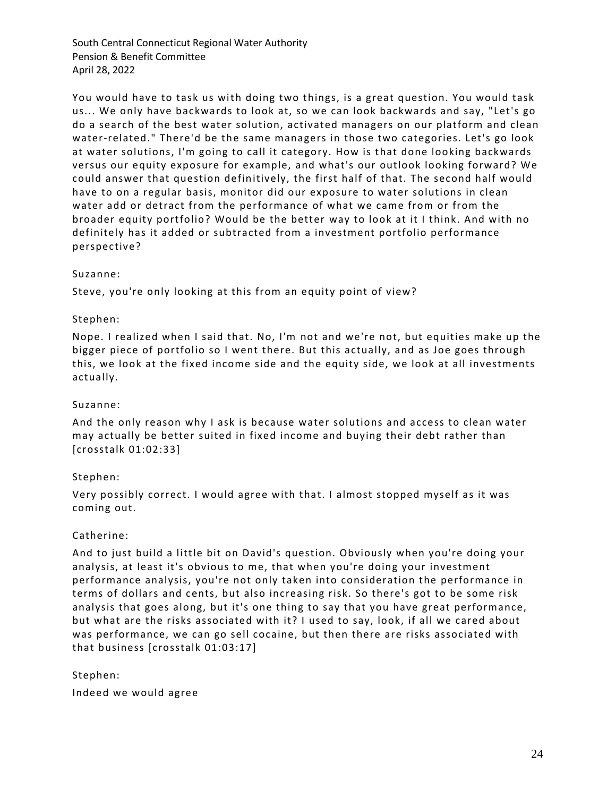You would have to task us with doing two things, is a great question. You would task us... We only have backwards to look at, so we can look backwards and say, "Let's go do a search of the best water solution, activated managers on our platform and clean water-related." There'd be the same managers in those two categories. Let's go look at water solutions, I'm going to call it category. How is that done looking backwards versus our equity exposure for example, and what's our outlook looking forward? We could answer that question definitively, the first half of that. The second half would have to on a regular basis, monitor did our exposure to water solutions in clean water add or detract from the performance of what we came from or from the broader equity portfolio? Would be the better way to look at it I think. And with no definitely has it added or subtracted from a investment portfolio performance perspective?

#### Suzanne:

Steve, you're only looking at this from an equity point of view?

### Stephen:

Nope. I realized when I said that. No, I'm not and we're not, but equities make up the bigger piece of portfolio so I went there. But this actually, and as Joe goes through this, we look at the fixed income side and the equity side, we look at all investments actually.

### Suzanne:

And the only reason why I ask is because water solutions and access to clean water may actually be better suited in fixed income and buying their debt rather than [crosstalk 01:02:33]

#### Stephen:

Very possibly correct. I would agree with that. I almost stopped myself as it was coming out.

#### Catherine:

And to just build a little bit on David's question. Obviously when you're doing your analysis, at least it's obvious to me, that when you're doing your investment performance analysis, you're not only taken into consideration the performance in terms of dollars and cents, but also increasing risk. So there's got to be some risk analysis that goes along, but it's one thing to say that you have great performance, but what are the risks associated with it? I used to say, look, if all we cared about was performance, we can go sell cocaine, but then there are risks associated with that business [crosstalk 01:03:17]

#### Stephen:

Indeed we would agree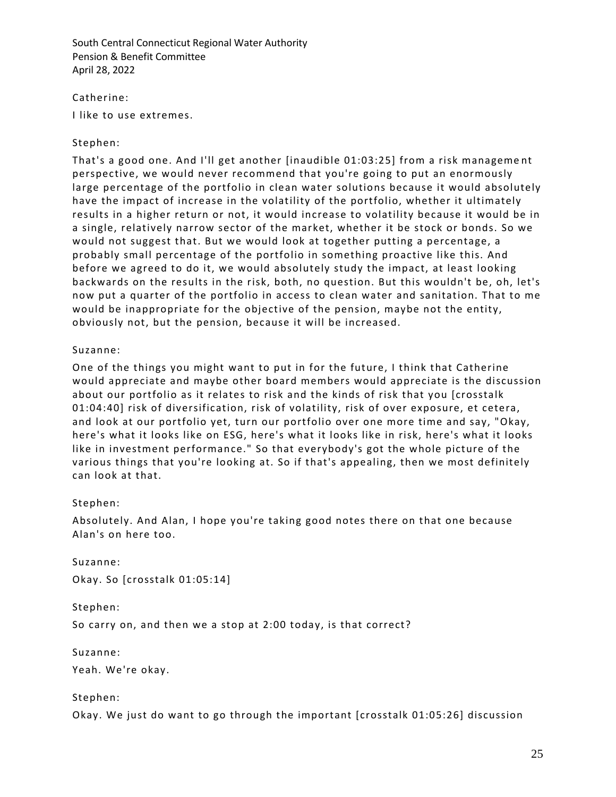Catherine: I like to use extremes.

### Stephen:

That's a good one. And I'll get another [inaudible 01:03:25] from a risk manageme nt perspective, we would never recommend that you're going to put an enormously large percentage of the portfolio in clean water solutions because it would absolutely have the impact of increase in the volatility of the portfolio, whether it ultimately results in a higher return or not, it would increase to volatility because it would be in a single, relatively narrow sector of the market, whether it be stock or bonds. So we would not suggest that. But we would look at together putting a percentage, a probably small percentage of the portfolio in something proactive like this. And before we agreed to do it, we would absolutely study the impact, at least looking backwards on the results in the risk, both, no question. But this wouldn't be, oh, let's now put a quarter of the portfolio in access to clean water and sanitation. That to me would be inappropriate for the objective of the pension, maybe not the entity, obviously not, but the pension, because it will be increased.

### Suzanne:

One of the things you might want to put in for the future, I think that Catherine would appreciate and maybe other board members would appreciate is the discussion about our portfolio as it relates to risk and the kinds of risk that you [crosstalk 01:04:40] risk of diversification, risk of volatility, risk of over exposure, et cetera, and look at our portfolio yet, turn our portfolio over one more time and say, "Okay, here's what it looks like on ESG, here's what it looks like in risk, here's what it looks like in investment performance." So that everybody's got the whole picture of the various things that you're looking at. So if that's appealing, then we most definitely can look at that.

## Stephen:

Absolutely. And Alan, I hope you're taking good notes there on that one because Alan's on here too.

Suzanne:

Okay. So [crosstalk 01:05:14]

Stephen:

So carry on, and then we a stop at 2:00 today, is that correct?

Suzanne:

Yeah. We're okay.

Stephen:

Okay. We just do want to go through the important [crosstalk 01:05:26] discussion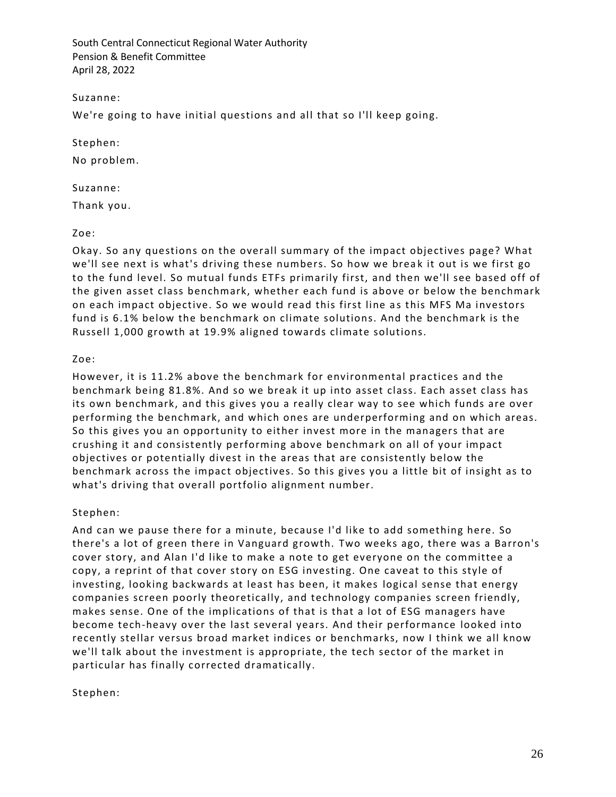Suzanne:

We're going to have initial questions and all that so I'll keep going.

Stephen:

No problem.

Suzanne:

Thank you.

Zoe:

Okay. So any questions on the overall summary of the impact objectives page? What we'll see next is what's driving these numbers. So how we break it out is we first go to the fund level. So mutual funds ETFs primarily first, and then we'll see based off of the given asset class benchmark, whether each fund is above or below the benchmark on each impact objective. So we would read this first line as this MFS Ma investors fund is 6.1% below the benchmark on climate solutions. And the benchmark is the Russell 1,000 growth at 19.9% aligned towards climate solutions.

Zoe:

However, it is 11.2% above the benchmark for environmental practices and the benchmark being 81.8%. And so we break it up into asset class. Each asset class has its own benchmark, and this gives you a really clear way to see which funds are over performing the benchmark, and which ones are underperforming and on which areas. So this gives you an opportunity to either invest more in the managers that are crushing it and consistently performing above benchmark on all of your impact objectives or potentially divest in the areas that are consistently below the benchmark across the impact objectives. So this gives you a little bit of insight as to what's driving that overall portfolio alignment number.

Stephen:

And can we pause there for a minute, because I'd like to add something here. So there's a lot of green there in Vanguard growth. Two weeks ago, there was a Barron's cover story, and Alan I'd like to make a note to get everyone on the committee a copy, a reprint of that cover story on ESG investing. One caveat to this style of investing, looking backwards at least has been, it makes logical sense that energy companies screen poorly theoretically, and technology companies screen friendly, makes sense. One of the implications of that is that a lot of ESG managers have become tech-heavy over the last several years. And their performance looked into recently stellar versus broad market indices or benchmarks, now I think we all know we'll talk about the investment is appropriate, the tech sector of the market in particular has finally corrected dramatically.

Stephen: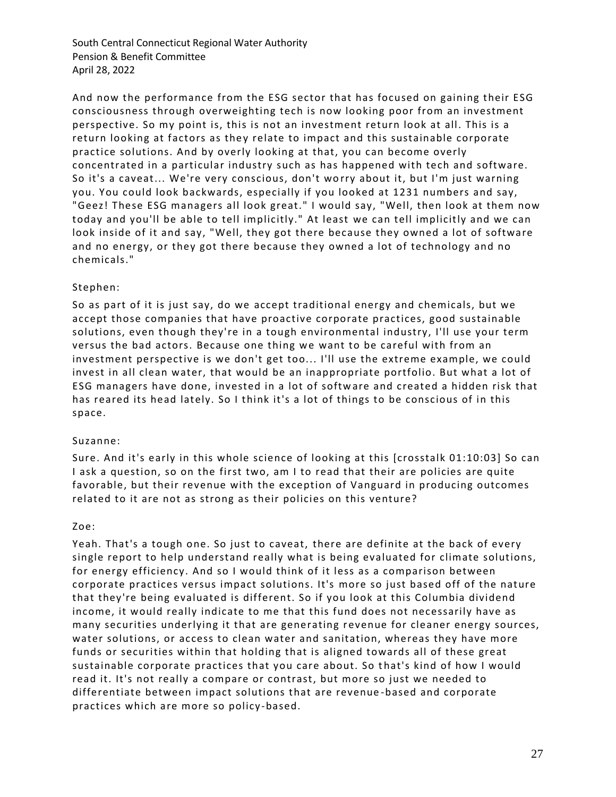And now the performance from the ESG sector that has focused on gaining their ESG consciousness through overweighting tech is now looking poor from an investment perspective. So my point is, this is not an investment return look at all. This is a return looking at factors as they relate to impact and this sustainable corporate practice solutions. And by overly looking at that, you can become overly concentrated in a particular industry such as has happened with tech and software. So it's a caveat... We're very conscious, don't worry about it, but I'm just warning you. You could look backwards, especially if you looked at 1231 numbers and say, "Geez! These ESG managers all look great." I would say, "Well, then look at them now today and you'll be able to tell implicitly." At least we can tell implicitly and we can look inside of it and say, "Well, they got there because they owned a lot of software and no energy, or they got there because they owned a lot of technology and no chemicals."

## Stephen:

So as part of it is just say, do we accept traditional energy and chemicals, but we accept those companies that have proactive corporate practices, good sustainable solutions, even though they're in a tough environmental industry, I'll use your term versus the bad actors. Because one thing we want to be careful with from an investment perspective is we don't get too... I'll use the extreme example, we could invest in all clean water, that would be an inappropriate portfolio. But what a lot of ESG managers have done, invested in a lot of softw are and created a hidden risk that has reared its head lately. So I think it's a lot of things to be conscious of in this space.

#### Suzanne:

Sure. And it's early in this whole science of looking at this [crosstalk 01:10:03] So can I ask a question, so on the first two, am I to read that their are policies are quite favorable, but their revenue with the exception of Vanguard in producing outcomes related to it are not as strong as their policies on this venture?

#### Zoe:

Yeah. That's a tough one. So just to caveat, there are definite at the back of every single report to help understand really what is being evaluated for climate solutions, for energy efficiency. And so I would think of it less as a comparison between corporate practices versus impact solutions. It's more so just based off of the nature that they're being evaluated is different. So if you look at this Columbia dividend income, it would really indicate to me that this fund does not necessarily have as many securities underlying it that are generating revenue for cleaner energy sources, water solutions, or access to clean water and sanitation, whereas they have more funds or securities within that holding that is aligned towards all of these great sustainable corporate practices that you care about. So that's kind of how I would read it. It's not really a compare or contrast, but more so just we needed to differentiate between impact solutions that are revenue -based and corporate practices which are more so policy -based.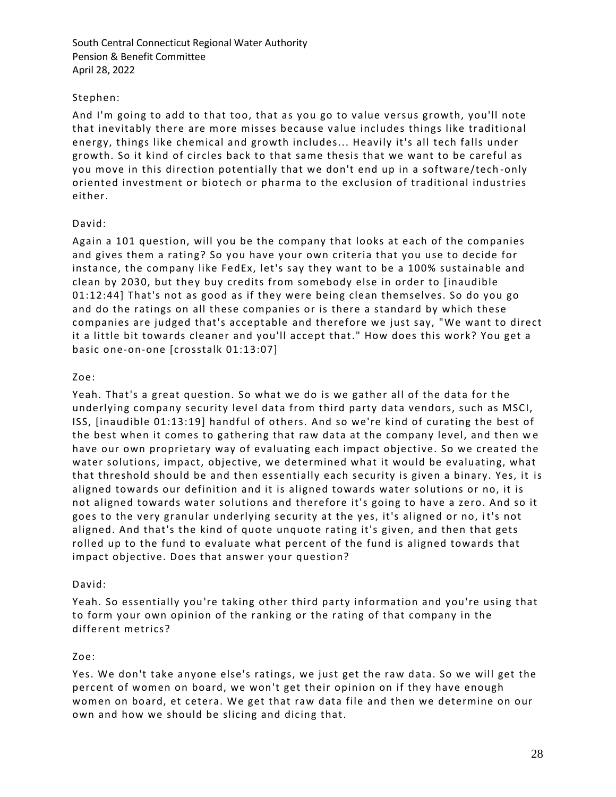## Stephen:

And I'm going to add to that too, that as you go to value versus growth, you'll note that inevitably there are more misses because value includes things like traditional energy, things like chemical and growth includes... Heavily it's all tech falls under growth. So it kind of circles back to that same thesis that we want to be careful as you move in this direction potentially that we don't end up in a software/tech -only oriented investment or biotech or pharma to the exclusion of traditional industries either.

## David:

Again a 101 question, will you be the company that looks at each of the companies and gives them a rating? So you have your own criteria that you use to decide for instance, the company like FedEx, let's say they want to be a 100% sustainable and clean by 2030, but they buy credits from somebody else in order to [inaudible 01:12:44] That's not as good as if they were being clean themselves. So do you go and do the ratings on all these companies or is there a standard by which these companies are judged that's acceptable and therefore we just say, "We want to direct it a little bit towards cleaner and you'll accept that." How does this work? You get a basic one-on-one [crosstalk 01:13:07]

## Zoe:

Yeah. That's a great question. So what we do is we gather all of the data for t he underlying company security level data from third party data vendors, such as MSCI, ISS, [inaudible 01:13:19] handful of others. And so we're kind of curating the best of the best when it comes to gathering that raw data at the company level, and then we have our own proprietary way of evaluating each impact objective. So we created the water solutions, impact, objective, we determined what it would be evaluating, what that threshold should be and then essentially each security is given a binary. Yes, it is aligned towards our definition and it is aligned towards water solutions or no, it is not aligned towards water solutions and therefore it's going to have a zero. And so it goes to the very granular underlying security at the yes, it's aligned or no, i t's not aligned. And that's the kind of quote unquote rating it's given, and then that gets rolled up to the fund to evaluate what percent of the fund is aligned towards that impact objective. Does that answer your question?

## David:

Yeah. So essentially you're taking other third party information and you're using that to form your own opinion of the ranking or the rating of that company in the different metrics?

## Zoe:

Yes. We don't take anyone else's ratings, we just get the raw data. So we will get the percent of women on board, we won't get their opinion on if they have enough women on board, et cetera. We get that raw data file and then we determine on our own and how we should be slicing and dicing that.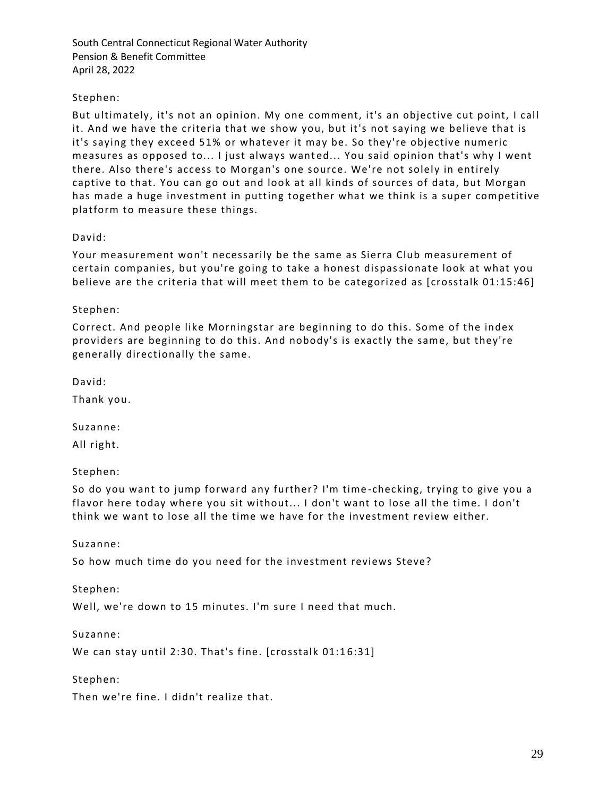## Stephen:

But ultimately, it's not an opinion. My one comment, it's an objective cut point, I call it. And we have the criteria that we show you, but it's not saying we believe that is it's saying they exceed 51% or whatever it may be. So they're objective numeric measures as opposed to... I just always wanted... You said opinion that's why I went there. Also there's access to Morgan's one source. We're not solely in entirely captive to that. You can go out and look at all kinds of sources of data, but Morgan has made a huge investment in putting together what we think is a super competitive platform to measure these things.

#### David:

Your measurement won't necessarily be the same as Sierra Club measurement of certain companies, but you're going to take a honest dispassionate look at what you believe are the criteria that will meet them to be categorized as [crosstalk 01:15:46]

### Stephen:

Correct. And people like Morningstar are beginning to do this. Some of the index providers are beginning to do this. And nobody's is exactly the same, but they're generally directionally the same.

David:

Thank you.

Suzanne:

All right.

Stephen:

So do you want to jump forward any further? I'm time -checking, trying to give you a flavor here today where you sit without... I don't want to lose all the time. I don't think we want to lose all the time we have for the investment review either.

Suzanne:

So how much time do you need for the investment reviews Steve?

Stephen:

Well, we're down to 15 minutes. I'm sure I need that much.

Suzanne:

We can stay until 2:30. That's fine. [crosstalk 01:16:31]

Stephen:

Then we're fine. I didn't realize that.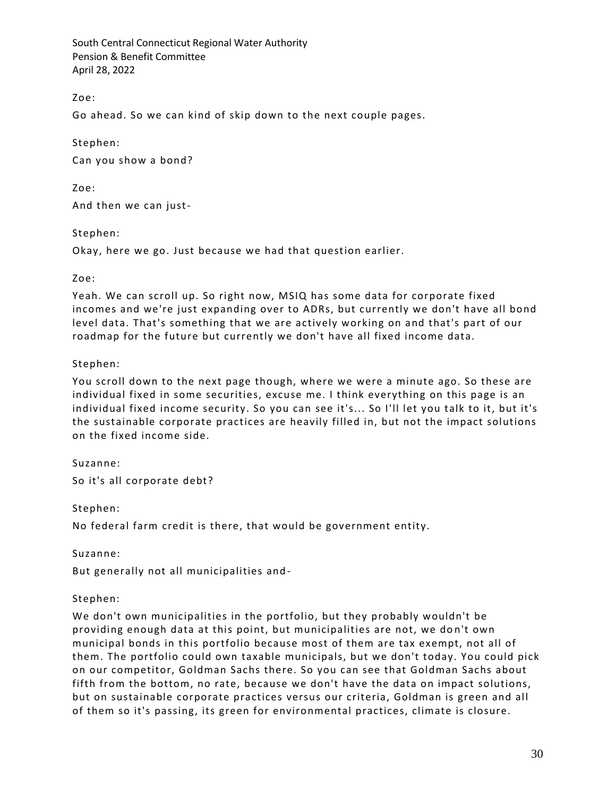Zoe:

Go ahead. So we can kind of skip down to the next couple pages.

Stephen:

Can you show a bond?

Zoe:

And then we can just-

Stephen:

Okay, here we go. Just because we had that question earlier.

#### Zoe:

Yeah. We can scroll up. So right now, MSIQ has some data for corporate fixed incomes and we're just expanding over to ADRs, but currently we don't have all bond level data. That's something that we are actively working on and that's part of our roadmap for the future but currently we don't have all fixed income data.

### Stephen:

You scroll down to the next page though, where we were a minute ago. So these are individual fixed in some securities, excuse me. I think everything on this page is an individual fixed income security. So you can see it's... So I'll let you talk to it, but it's the sustainable corporate practices are heavily filled in, but not the impact solutions on the fixed income side.

Suzanne:

So it's all corporate debt?

Stephen:

No federal farm credit is there, that would be government entity.

Suzanne:

But generally not all municipalities and-

#### Stephen:

We don't own municipalities in the portfolio, but they probably wouldn't be providing enough data at this point, but municipalities are not, we do n't own municipal bonds in this portfolio because most of them are tax exempt, not all of them. The portfolio could own taxable municipals, but we don't today. You could pick on our competitor, Goldman Sachs there. So you can see that Goldman Sachs about fifth from the bottom, no rate, because we don't have the data on impact solutions, but on sustainable corporate practices versus our criteria, Goldman is green and all of them so it's passing, its green for environmental practices, climate is closure.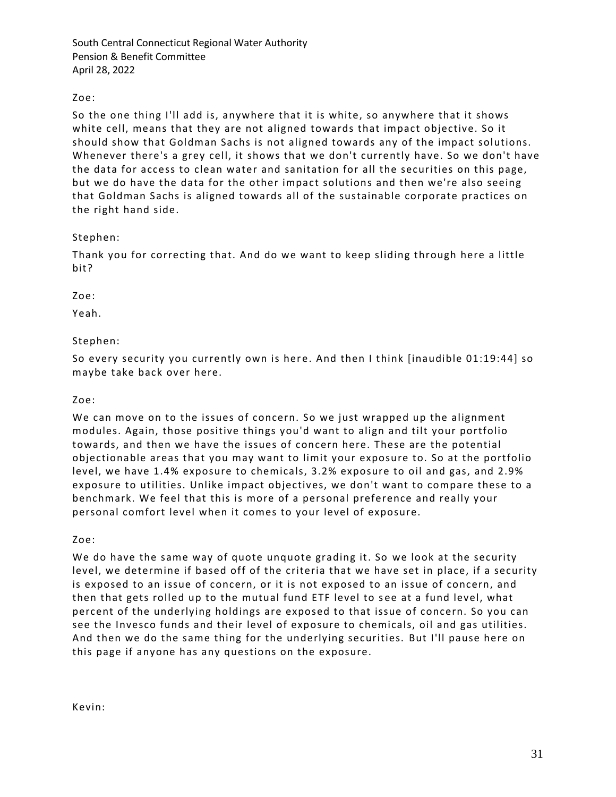## Zoe:

So the one thing I'll add is, anywhere that it is white, so anywhere that it shows white cell, means that they are not aligned towards that impact objective. So it should show that Goldman Sachs is not aligned towards any of the impact solutions. Whenever there's a grey cell, it shows that we don't currently have. So we don't have the data for access to clean water and sanitation for all the securities on this page, but we do have the data for the other impact solutions and then we're also seeing that Goldman Sachs is aligned towards all of the sustainable corporate practices on the right hand side.

## Stephen:

Thank you for correcting that. And do we want to keep sliding through here a little bit?

Zoe:

Yeah.

## Stephen:

So every security you currently own is here. And then I think [inaudible 01:19:44] so maybe take back over here.

### Zoe:

We can move on to the issues of concern. So we just wrapped up the alignment modules. Again, those positive things you'd want to align and tilt your portfolio towards, and then we have the issues of concern here. These are the potential objectionable areas that you may want to limit your exposure to. So at the portfolio level, we have 1.4% exposure to chemicals, 3.2% exposure to oil and gas, and 2.9% exposure to utilities. Unlike impact objectives, we don't want to compare these to a benchmark. We feel that this is more of a personal preference and really your personal comfort level when it comes to your level of exposure.

Zoe:

We do have the same way of quote unquote grading it. So we look at the security level, we determine if based off of the criteria that we have set in place, if a security is exposed to an issue of concern, or it is not exposed to an issue of concern, and then that gets rolled up to the mutual fund ETF level to see at a fund level, what percent of the underlying holdings are exposed to that issue of concern. So you can see the Invesco funds and their level of exposure to chemicals, oil and gas utilities. And then we do the same thing for the underlying securities. But I'll pause here on this page if anyone has any questions on the exposure.

Kevin: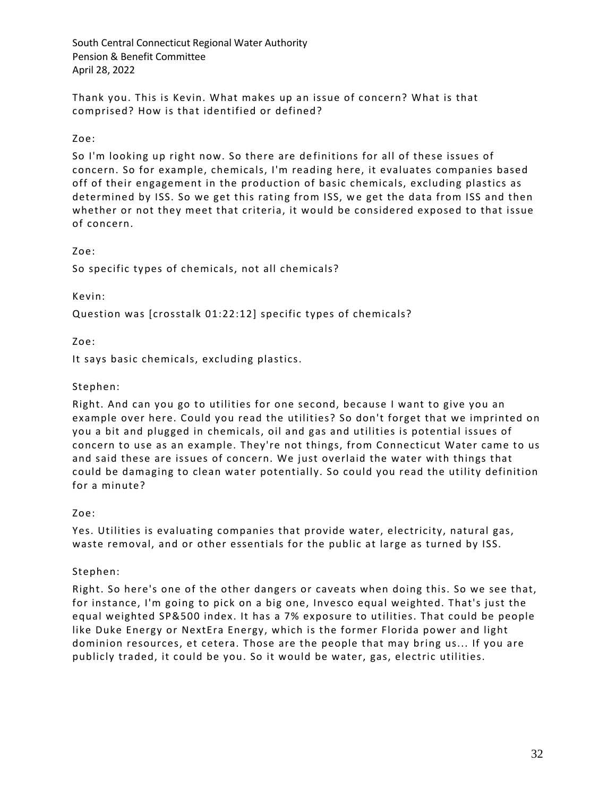Thank you. This is Kevin. What makes up an issue of concern? What is that comprised? How is that identified or defined?

## Zoe:

So I'm looking up right now. So there are de finitions for all of these issues of concern. So for example, chemicals, I'm reading here, it evaluates companies based off of their engagement in the production of basic chemicals, excluding plastics as determined by ISS. So we get this rating from ISS, we get the data from ISS and then whether or not they meet that criteria, it would be considered exposed to that issue of concern.

## Zoe:

So specific types of chemicals, not all chemicals?

## Kevin:

Question was [crosstalk 01:22:12] specific types of chemicals?

Zoe:

It says basic chemicals, excluding plastics.

## Stephen:

Right. And can you go to utilities for one second, because I want to give you an example over here. Could you read the utilities? So don't forget that we imprinted on you a bit and plugged in chemicals, oil and gas and utilities is potential issues of concern to use as an example. They're not things, from Connecticut Water came to us and said these are issues of concern. We just overlaid the water with things that could be damaging to clean water potentially. So could you read the utility definition for a minute?

## Zoe:

Yes. Utilities is evaluating companies that provide water, electricity, natural gas, waste removal, and or other essentials for the public at large as turned by ISS.

## Stephen:

Right. So here's one of the other dangers or caveats when doing this. So we see that, for instance, I'm going to pick on a big one, Invesco equal weighted. That's just the equal weighted SP&500 index. It has a 7% exposure to utilities. That could be people like Duke Energy or NextEra Energy, which is the former Florida power and light dominion resources, et cetera. Those are the people that may bring us... If you are publicly traded, it could be you. So it would be water, gas, electric utilities.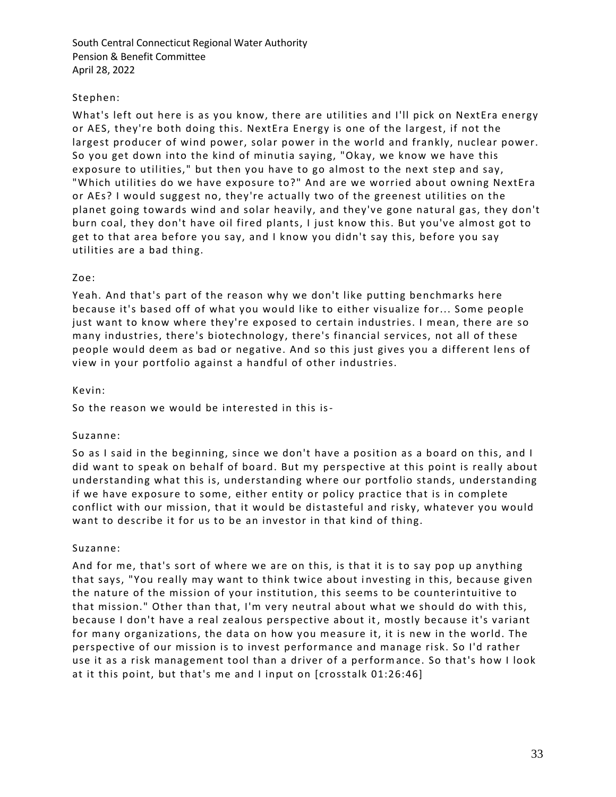## Stephen:

What's left out here is as you know, there are utilities and I'll pick on NextEra energy or AES, they're both doing this. NextEra Energy is one of the largest, if not the largest producer of wind power, solar power in the world and frankly, nuclear power. So you get down into the kind of minutia saying, "Okay, we know we have this exposure to utilities," but then you have to go almost to the next step and say, "Which utilities do we have exposure to?" And are we worried about owning NextEra or AEs? I would suggest no, they're actually two of the greenest utilities on the planet going towards wind and solar heavily, and they've gone natural gas, they don't burn coal, they don't have oil fired plants, I just know this. But you've almost got to get to that area before you say, and I know you didn't say this, before you say utilities are a bad thing.

## Zoe:

Yeah. And that's part of the reason why we don't like putting benchmarks here because it's based off of what you would like to either visualize for... Some people just want to know where they're exposed to certain industries. I mean, there are so many industries, there's biotechnology, there's financial services, not all of these people would deem as bad or negative. And so this just gives you a different lens of view in your portfolio against a handful of other industries.

### Kevin:

So the reason we would be interested in this is-

## Suzanne:

So as I said in the beginning, since we don't have a position as a board on this, and I did want to speak on behalf of board. But my perspective at this point is really about understanding what this is, understanding where our portfolio stands, understanding if we have exposure to some, either entity or policy practice that is in complete conflict with our mission, that it would be distasteful and risky, whatever you would want to describe it for us to be an investor in that kind of thing.

#### Suzanne:

And for me, that's sort of where we are on this, is that it is to say pop up anything that says, "You really may want to think twice about i nvesting in this, because given the nature of the mission of your institution, this seems to be counterintuitive to that mission." Other than that, I'm very neutral about what we should do with this, because I don't have a real zealous perspective about it, mostly because it's variant for many organizations, the data on how you measure it, it is new in the world. The perspective of our mission is to invest performance and manage risk. So I'd rather use it as a risk management tool than a driver of a performance. So that's how I look at it this point, but that's me and I input on [crosstalk 01:26:46]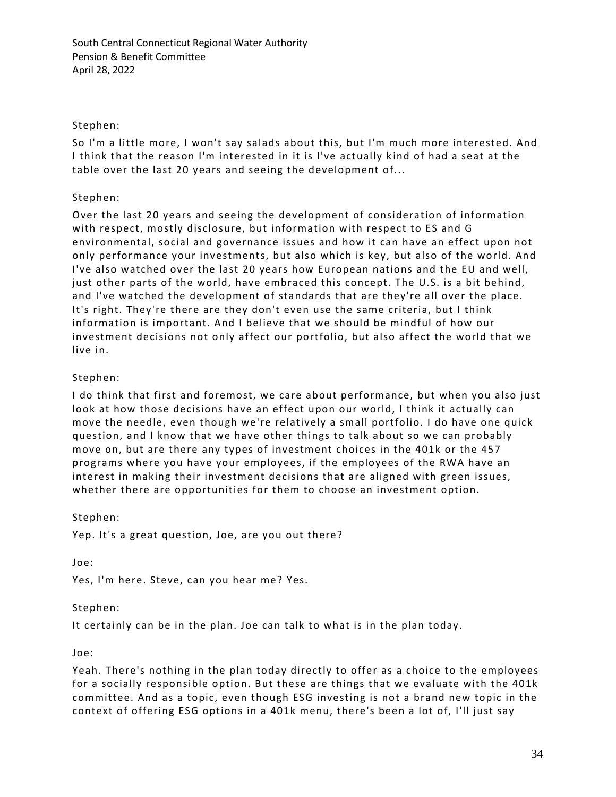### Stephen:

So I'm a little more, I won't say salads about this, but I'm much more interested. And I think that the reason I'm interested in it is I've actually k ind of had a seat at the table over the last 20 years and seeing the development of...

### Stephen:

Over the last 20 years and seeing the development of consideration of information with respect, mostly disclosure, but information with respect to ES and G environmental, social and governance issues and how it can have an effect upon not only performance your investments, but also which is key, but also of the world. And I've also watched over the last 20 years how European nations and the EU and well, just other parts of the world, have embraced this concept. The U.S. is a bit behind, and I've watched the development of standards that are they're all over the place. It's right. They're there are they don't even use the same criteria, but I think information is important. And I believe that we should be mindful of how our investment decisions not only affect our portfolio, but also affect the world that we live in.

### Stephen:

I do think that first and foremost, we care about performance, but when you also just look at how those decisions have an effect upon our world, I think it actually can move the needle, even though we're relatively a small portfolio. I do have one quick question, and I know that we have other things to talk about so we can probably move on, but are there any types of investment choices in the 401k or the 457 programs where you have your employees, if the employees of the RWA have an interest in making their investment decisions that are aligned with green issues, whether there are opportunities for them to choose an investment option.

#### Stephen:

Yep. It's a great question, Joe, are you out there?

Joe:

Yes, I'm here. Steve, can you hear me? Yes.

#### Stephen:

It certainly can be in the plan. Joe can talk to what is in the plan today.

#### Joe:

Yeah. There's nothing in the plan today directly to offer as a choice to the employees for a socially responsible option. But these are things that we evaluate with the 401k committee. And as a topic, even though ESG investing is not a brand new topic in the context of offering ESG options in a 401k menu, there's been a lot of, I'll just say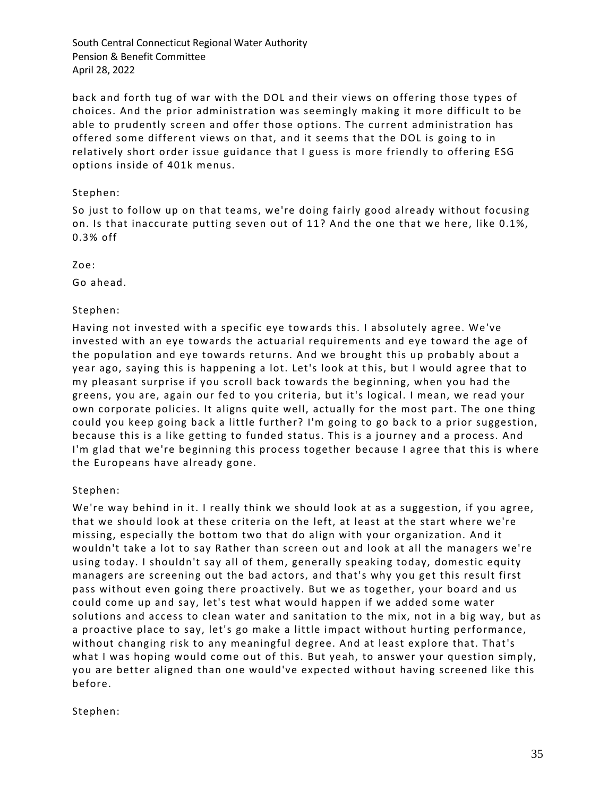back and forth tug of war with the DOL and their views on offering those types of choices. And the prior administration was seemingly making it more difficult to be able to prudently screen and offer those options. The current administration has offered some different views on that, and it seems that the DOL is going to in relatively short order issue guidance that I guess is more friendly to offering ESG options inside of 401k menus.

### Stephen:

So just to follow up on that teams, we're doing fairly good already without focusing on. Is that inaccurate putting seven out of 11? And the one that we here, like 0.1%, 0.3% off

Zoe:

Go ahead.

## Stephen:

Having not invested with a specific eye towards this. I absolutely agree. We've invested with an eye towards the actuarial requirements and eye toward the age of the population and eye towards returns. And we brought this up probably about a year ago, saying this is happening a lot. Let's look at this, but I would agree that to my pleasant surprise if you scroll back towards the beginning, when you had the greens, you are, again our fed to you criteria, but it's logical. I mean, we read your own corporate policies. It aligns quite well, actually for the most part. The one thing could you keep going back a little further? I'm going to go back to a prior suggestion, because this is a like getting to funded status. This is a journey and a process. And I'm glad that we're beginning this process together because I agree that this is where the Europeans have already gone.

#### Stephen:

We're way behind in it. I really think we should look at as a suggestion, if you agree, that we should look at these criteria on the left, at least at the start where we're missing, especially the bottom two that do align with your organization. And it wouldn't take a lot to say Rather than screen out and look at all the managers we're using today. I shouldn't say all of them, generally speaking today, domestic equity managers are screening out the bad actors, and that's why you get this result first pass without even going there proactively. But we as together, your board and us could come up and say, let's test what would happen if we added some water solutions and access to clean water and sanitation to the mix, not in a big way, but as a proactive place to say, let's go make a little impact without hurting performance, without changing risk to any meaningful degree. And at least explore that. That's what I was hoping would come out of this. But yeah, to answer your question simply, you are better aligned than one would've expected without having screened like this before.

## Stephen: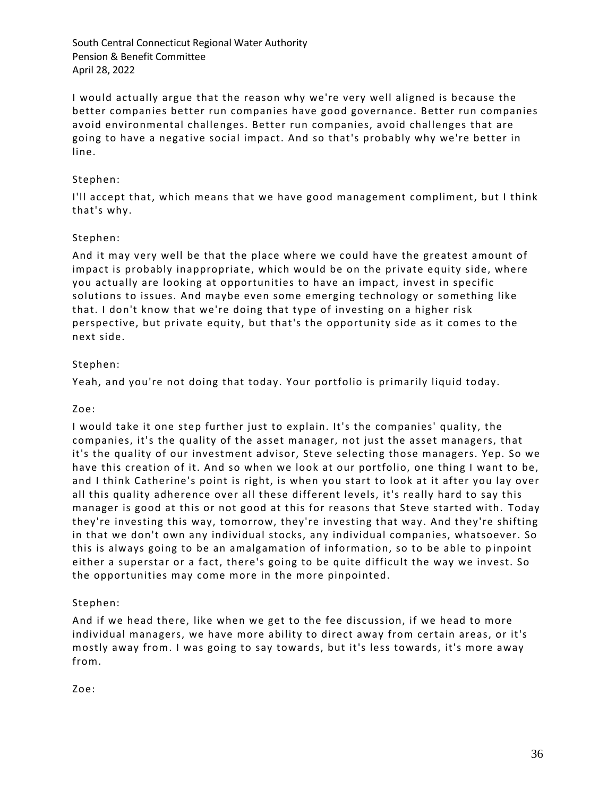I would actually argue that the reason why we're very well aligned is because the better companies better run companies have good governance. Better run companies avoid environmental challenges. Better run companies, avoid challenges that are going to have a negative social impact. And so that's probably why we're better in line.

## Stephen:

I'll accept that, which means that we have good management compliment, but I think that's why.

## Stephen:

And it may very well be that the place where we could have the greatest amount of impact is probably inappropriate, which would be on the private equity side, where you actually are looking at opportunities to have an impact, invest in specific solutions to issues. And maybe even some emerging technology or something like that. I don't know that we're doing that type of investing on a higher risk perspective, but private equity, but that's the opportunity side as it comes to the next side.

### Stephen:

Yeah, and you're not doing that today. Your portfolio is primarily liquid today.

#### Zoe:

I would take it one step further just to explain. It's the companies' quality, the companies, it's the quality of the asset manager, not just the asset managers, that it's the quality of our investment advisor, Steve selecting those managers. Yep. So we have this creation of it. And so when we look at our portfolio, one thing I want to be, and I think Catherine's point is right, is when you start to look at it after you lay over all this quality adherence over all these different levels, it's really hard to say this manager is good at this or not good at this for reasons that Steve started with. Today they're investing this way, tomorrow, they're investing that way. And they're shifting in that we don't own any individual stocks, any individual companies, whatsoever. So this is always going to be an amalgamation of information, so to be able to p inpoint either a superstar or a fact, there's going to be quite difficult the way we invest. So the opportunities may come more in the more pinpointed.

#### Stephen:

And if we head there, like when we get to the fee discussion, if we head to more individual managers, we have more ability to direct away from certain areas, or it's mostly away from. I was going to say towards, but it's less towards, it's more away from.

Zoe: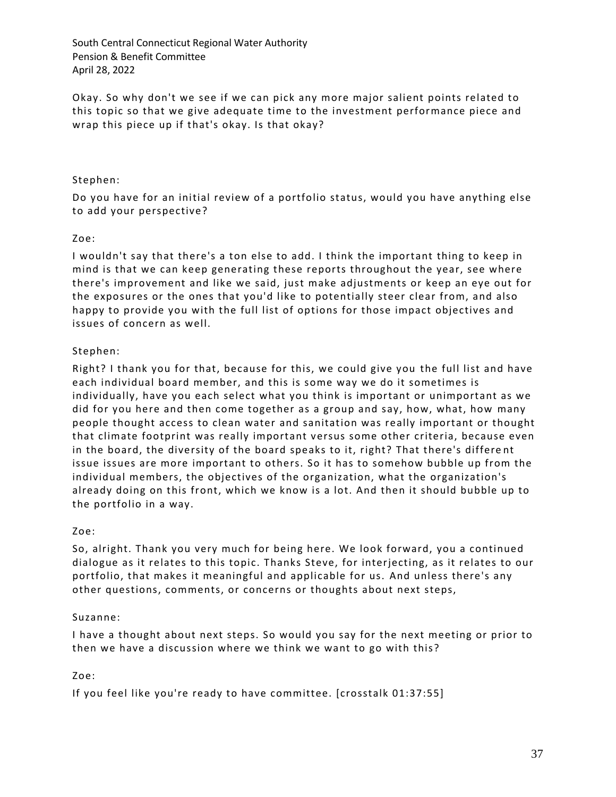Okay. So why don't we see if we can pick any more major salient points related to this topic so that we give adequate time to the investment performance piece and wrap this piece up if that's okay. Is that okay?

### Stephen:

Do you have for an initial review of a portfolio status, would you have anything else to add your perspective?

### Zoe:

I wouldn't say that there's a ton else to add. I think the important thing to keep in mind is that we can keep generating these reports throughout the year, see where there's improvement and like we said, just make adjustments or keep an eye out for the exposures or the ones that you'd like to potentially steer clear from, and also happy to provide you with the full list of options for those impact objectives and issues of concern as well.

### Stephen:

Right? I thank you for that, because for this, we could give you the full list and have each individual board member, and this is some way we do it sometimes is individually, have you each select what you think is important or unimportant as we did for you here and then come together as a group and say, how, what, how many people thought access to clean water and sanitation was really important or thought that climate footprint was really important versus some other criteria, because even in the board, the diversity of the board speaks to it, right? That there's differe nt issue issues are more important to others. So it has to somehow bubble up from the individual members, the objectives of the organization, what the organization's already doing on this front, which we know is a lot. And then it should bubble up to the portfolio in a way.

#### Zoe:

So, alright. Thank you very much for being here. We look forward, you a continued dialogue as it relates to this topic. Thanks Steve, for interjecting, as it relates to our portfolio, that makes it meaningful and applicable for us. And unless there's any other questions, comments, or concerns or thoughts about next steps,

#### Suzanne:

I have a thought about next steps. So would you say for the next meeting or prior to then we have a discussion where we think we want to go with this?

#### Zoe:

If you feel like you're ready to have committee. [crosstalk 01:37:55]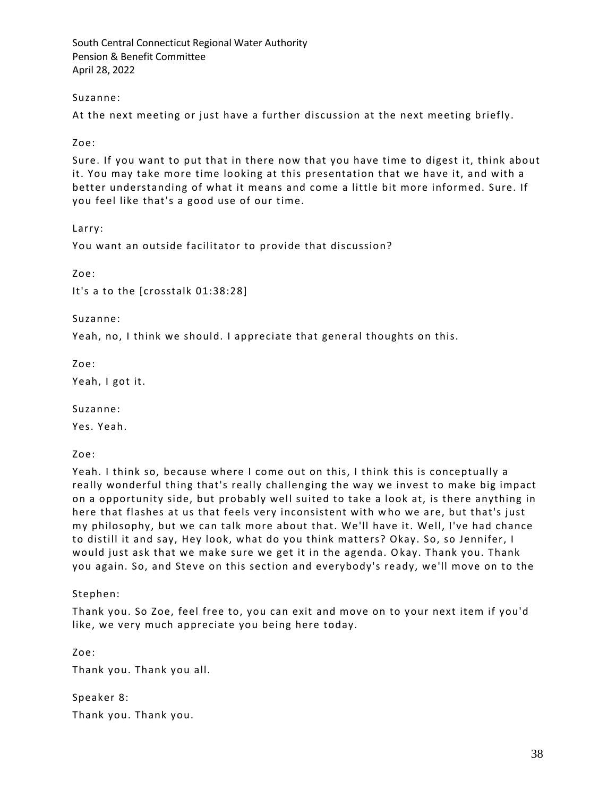### Suzanne:

At the next meeting or just have a further discussion at the next meeting briefly.

Zoe:

Sure. If you want to put that in there now that you have time to digest it, think about it. You may take more time looking at this presentation that we have it, and with a better understanding of what it means and come a little bit more informed. Sure. If you feel like that's a good use of our time.

Larry:

You want an outside facilitator to provide that discussion?

Zoe:

It's a to the [crosstalk 01:38:28]

Suzanne:

Yeah, no, I think we should. I appreciate that general thoughts on this.

Zoe:

Yeah, I got it.

Suzanne:

Yes. Yeah.

Zoe:

Yeah. I think so, because where I come out on this, I think this is conceptually a really wonderful thing that's really challenging the way we invest to make big impact on a opportunity side, but probably well suited to take a look at, is there anything in here that flashes at us that feels very inconsistent with w ho we are, but that's just my philosophy, but we can talk more about that. We'll have it. Well, I've had chance to distill it and say, Hey look, what do you think matters? Okay. So, so Jennifer, I would just ask that we make sure we get it in the agenda. Okay. Thank you. Thank you again. So, and Steve on this section and everybody's ready, we'll move on to the

Stephen:

Thank you. So Zoe, feel free to, you can exit and move on to your next item if you'd like, we very much appreciate you being here today.

Zoe:

Thank you. Thank you all.

Speaker 8: Thank you. Thank you.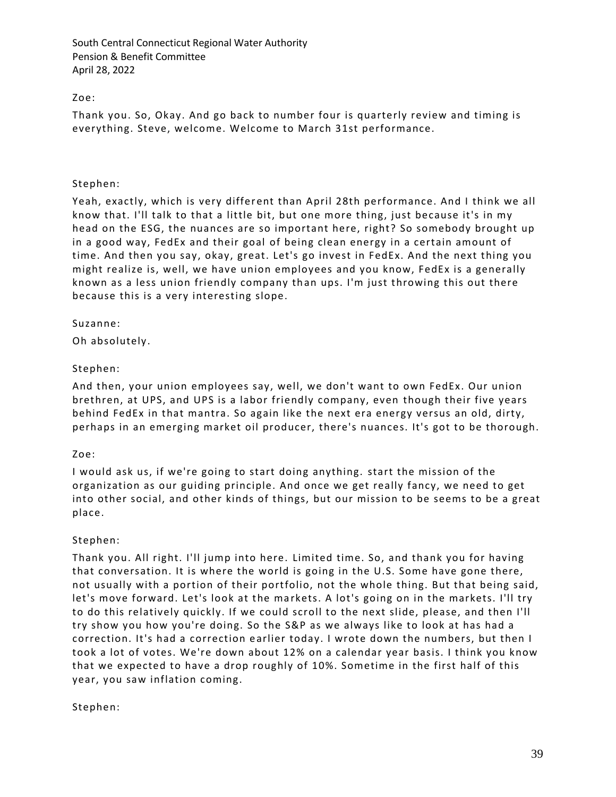## Zoe:

Thank you. So, Okay. And go back to number four is quarterly review and timing is everything. Steve, welcome. Welcome to March 31st performance.

### Stephen:

Yeah, exactly, which is very different than April 28th performance. And I think we all know that. I'll talk to that a little bit, but one more thing, just because it's in my head on the ESG, the nuances are so important here, right? So somebody brought up in a good way, FedEx and their goal of being clean energy in a certain amount of time. And then you say, okay, great. Let's go invest in FedEx. And the next thing you might realize is, well, we have union employees and you know, FedEx is a generally known as a less union friendly company than ups. I'm just throwing this out there because this is a very interesting slope.

### Suzanne:

Oh absolutely.

## Stephen:

And then, your union employees say, well, we don't want to own FedEx. Our union brethren, at UPS, and UPS is a labor friendly company, even though their five years behind FedEx in that mantra. So again like the next era energy versus an old, dirty, perhaps in an emerging market oil producer, there's nuances. It's got to be thorough.

#### Zoe:

I would ask us, if we're going to start doing anything. start the mission of the organization as our guiding principle. And once we get really fancy, we need to get into other social, and other kinds of things, but our mission to be seems to be a great place.

#### Stephen:

Thank you. All right. I'll jump into here. Limited time. So, and thank you for having that conversation. It is where the world is going in the U.S. Some have gone there, not usually with a portion of their portfolio, not the whole thing. But that being said, let's move forward. Let's look at the markets. A lot's going on in the markets. I'll try to do this relatively quickly. If we could scroll to the next slide, please, and then I'll try show you how you're doing. So the S&P as we always like to look at has had a correction. It's had a correction earlier today. I wrote down the numbers, but then I took a lot of votes. We're down about 12% on a calendar year basis. I think you know that we expected to have a drop roughly of 10%. Sometime in the first half of this year, you saw inflation coming.

## Stephen: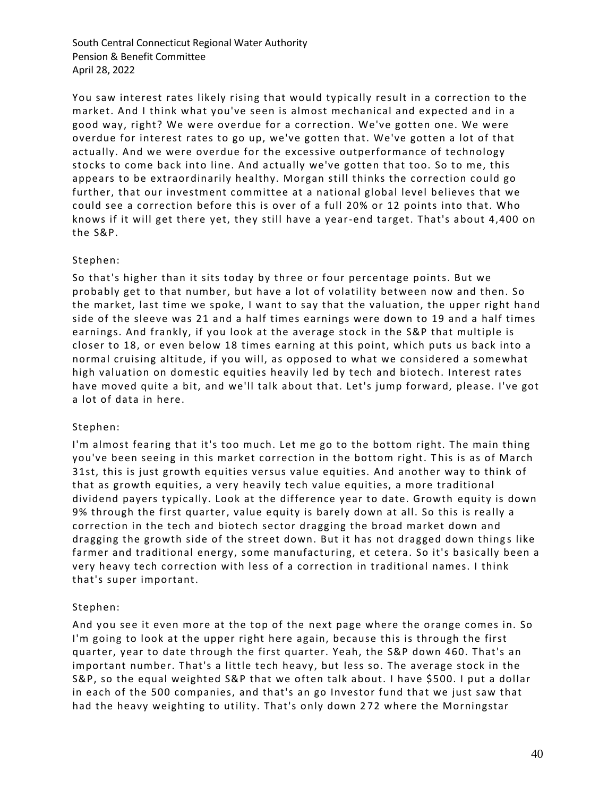You saw interest rates likely rising that would typically result in a correction to the market. And I think what you've seen is almost mechanical and expected and in a good way, right? We were overdue for a correction. We've gotten one. We were overdue for interest rates to go up, we've gotten that. We've gotten a lot of that actually. And we were overdue for the excessive outperformance of technology stocks to come back into line. And actually we've gotten that too. So to me, this appears to be extraordinarily healthy. Morgan still thinks the correction could go further, that our investment committee at a national global level believes that we could see a correction before this is over of a full 20% or 12 points into that. Who knows if it will get there yet, they still have a year-end target. That's about 4,400 on the S&P.

## Stephen:

So that's higher than it sits today by three or four percentage points. But we probably get to that number, but have a lot of volatility between now and then. So the market, last time we spoke, I want to say that the valuation, the upper right hand side of the sleeve was 21 and a half times earnings were down to 19 and a half times earnings. And frankly, if you look at the average stock in the S&P that multiple is closer to 18, or even below 18 times earning at this point, which puts us back into a normal cruising altitude, if you will, as opposed to what we considered a somewhat high valuation on domestic equities heavily led by tech and biotech. Interest rates have moved quite a bit, and we'll talk about that. Let's jump forward, please. I've got a lot of data in here.

#### Stephen:

I'm almost fearing that it's too much. Let me go to the bottom right. The main thing you've been seeing in this market correction in the bottom right. T his is as of March 31st, this is just growth equities versus value equities. And another way to think of that as growth equities, a very heavily tech value equities, a more traditional dividend payers typically. Look at the difference year to date. Growth equity is down 9% through the first quarter, value equity is barely down at all. So this is really a correction in the tech and biotech sector dragging the broad market down and dragging the growth side of the street down. But it has not dragged down things like farmer and traditional energy, some manufacturing, et cetera. So it's basically been a very heavy tech correction with less of a correction in traditional names. I think that's super important.

#### Stephen:

And you see it even more at the top of the next page where the orange comes in. So I'm going to look at the upper right here again, because this is through the first quarter, year to date through the first quarter. Yeah, the S&P down 460. That's an important number. That's a little tech heavy, but less so. The average stock in the S&P, so the equal weighted S&P that we often talk about. I have \$500. I put a dollar in each of the 500 companies, and that's an go Investor fund that we just saw that had the heavy weighting to utility. That's only down 2 72 where the Morningstar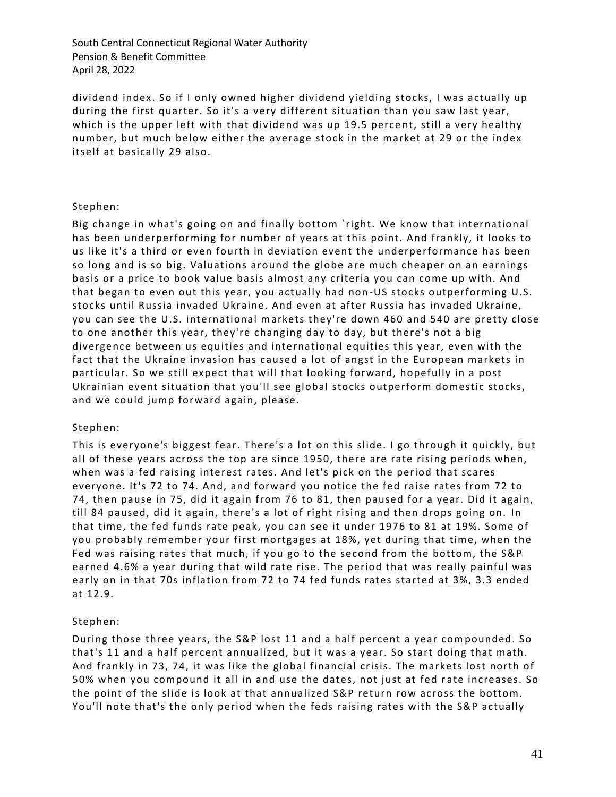dividend index. So if I only owned higher dividend yielding stocks, I was actually up during the first quarter. So it's a very different situation than you saw last year, which is the upper left with that dividend was up 19.5 perce nt, still a very healthy number, but much below either the average stock in the market at 29 or the index itself at basically 29 also.

## Stephen:

Big change in what's going on and finally bottom `right. We know that international has been underperforming for number of years at this point. And frankly, it looks to us like it's a third or even fourth in deviation event the underperformance has been so long and is so big. Valuations around the globe are much cheaper on an earnings basis or a price to book value basis almost any criteria you can come up with. And that began to even out this year, you actually had non -US stocks outperforming U.S. stocks until Russia invaded Ukraine. And even at after Russia has invaded Ukraine, you can see the U.S. international markets they're down 460 and 540 are pretty close to one another this year, they're changing day to day, but there's not a big divergence between us equities and international equities this year, even with the fact that the Ukraine invasion has caused a lot of angst in the European markets in particular. So we still expect that will that looking forward, hopefully in a post Ukrainian event situation that you'll see global stocks outperform domestic stocks, and we could jump forward again, please.

### Stephen:

This is everyone's biggest fear. There's a lot on this slide. I go through it quickly, but all of these years across the top are since 1950, there are rate rising periods when, when was a fed raising interest rates. And let's pick on the period that scares everyone. It's 72 to 74. And, and forward you notice the fed raise rates from 72 to 74, then pause in 75, did it again from 76 to 81, then paused for a year. Did it again, till 84 paused, did it again, there's a lot of right rising and then drops going on. In that time, the fed funds rate peak, you can see it under 1976 to 81 at 19%. Some of you probably remember your first mortgages at 18%, yet during that time, when the Fed was raising rates that much, if you go to the second from the bottom, the S&P earned 4.6% a year during that wild rate rise. The period that was really painful was early on in that 70s inflation from 72 to 74 fed funds rates started at 3%, 3.3 ended at 12.9.

#### Stephen:

During those three years, the S&P lost 11 and a half percent a year com pounded. So that's 11 and a half percent annualized, but it was a year. So start doing that math. And frankly in 73, 74, it was like the global financial crisis. The markets lost north of 50% when you compound it all in and use the dates, not just at fed r ate increases. So the point of the slide is look at that annualized S&P return row across the bottom. You'll note that's the only period when the feds raising rates with the S&P actually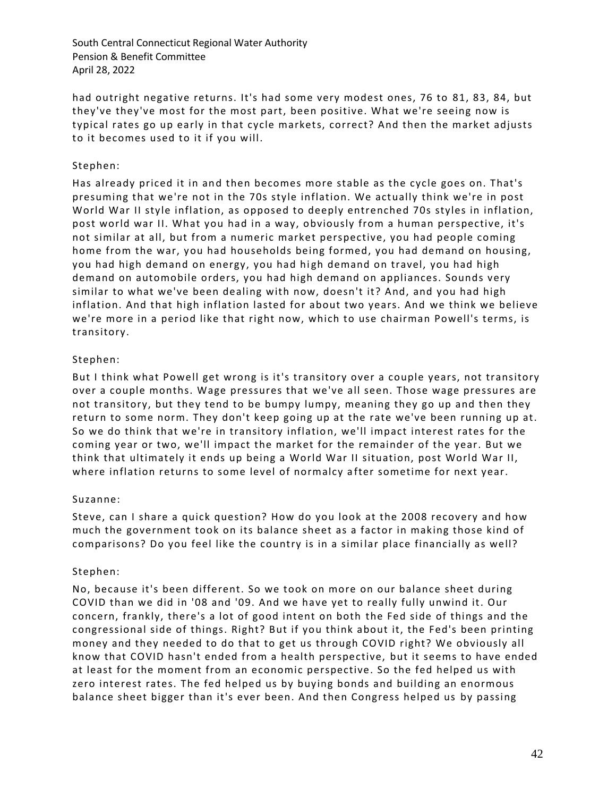had outright negative returns. It's had some very modest ones, 76 to 81, 83, 84, but they've they've most for the most part, been positive. What we're seeing now is typical rates go up early in that cycle markets, correct? And then the market adjusts to it becomes used to it if you will.

## Stephen:

Has already priced it in and then becomes more stable as the cycle goes on. That's presuming that we're not in the 70s style inflation. We actually think we're in post World War II style inflation, as opposed to deeply entrenched 70s styles in inflation, post world war II. What you had in a way, obviously from a human perspective, it's not similar at all, but from a numeric market perspective, you had people coming home from the war, you had households being formed, you had demand on housing, you had high demand on energy, you had high demand on travel, you had high demand on automobile orders, you had high demand on appliances. Sounds very similar to what we've been dealing with now, doesn't it? And, and you had high inflation. And that high inflation lasted for about two years. And we think we believe we're more in a period like that right now, which to use chairman Powell's terms, is transitory.

## Stephen:

But I think what Powell get wrong is it's transitory over a couple years, not transitory over a couple months. Wage pressures that we've all seen. Those wage pressures are not transitory, but they tend to be bumpy lumpy, meaning they go up and then they return to some norm. They don't keep going up at the rate we've been running up at. So we do think that we're in transitory inflation, we'll impact interest rates for the coming year or two, we'll impact the market for the remainder of the year. But we think that ultimately it ends up being a World War II situation, post World War II, where inflation returns to some level of normalcy a fter sometime for next year.

## Suzanne:

Steve, can I share a quick question? How do you look at the 2008 recovery and how much the government took on its balance sheet as a factor in making those kind of comparisons? Do you feel like the country is in a similar place financially as well?

## Stephen:

No, because it's been different. So we took on more on our balance sheet during COVID than we did in '08 and '09. And we have yet to really fully unwind it. Our concern, frankly, there's a lot of good intent on both the Fed side of things and the congressional side of things. Right? But if you think about it, the Fed's been printing money and they needed to do that to get us through COVID right? We obviously all know that COVID hasn't ended from a health perspective, but it seems to have ended at least for the moment from an economic perspective. So the fed helped us with zero interest rates. The fed helped us by buying bonds and building an enormous balance sheet bigger than it's ever been. And then Congress helped us by passing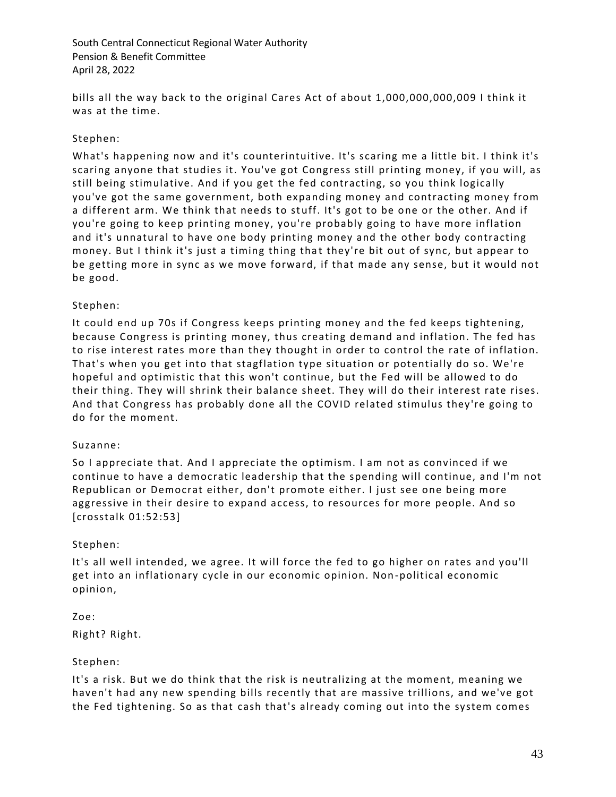bills all the way back to the original Cares Act of about 1,000,000,000,009 I think it was at the time.

## Stephen:

What's happening now and it's counterintuitive. It's scaring me a little bit. I think it's scaring anyone that studies it. You've got Congress still printing money, if you will, as still being stimulative. And if you get the fed contracting, so you think logically you've got the same government, both expanding money and contracting money from a different arm. We think that needs to stuff. It's got to be one or the other. And if you're going to keep printing money, you're probably going to have more inflation and it's unnatural to have one body printing money and the other body contracting money. But I think it's just a timing thing that they're bit out of sync, but appear to be getting more in sync as we move forward, if that made any sense, but it would not be good.

## Stephen:

It could end up 70s if Congress keeps printing money and the fed keeps tightening, because Congress is printing money, thus creating demand and inflation. The fed has to rise interest rates more than they thought in order to control the rate of inflation. That's when you get into that stagflation type situation or potentially do so. We're hopeful and optimistic that this won't continue, but the Fed will be allowed to do their thing. They will shrink their balance sheet. They will do their interest rate rises. And that Congress has probably done all the COVID related stimulus they're going to do for the moment.

## Suzanne:

So I appreciate that. And I appreciate the optimism. I am not as convinced if we continue to have a democratic leadership that the spending will continue, and I'm not Republican or Democrat either, don't promote either. I just see one being more aggressive in their desire to expand access, to resources for more people. And so [crosstalk 01:52:53]

## Stephen:

It's all well intended, we agree. It will force the fed to go higher on rates and you'll get into an inflationary cycle in our economic opinion. Non -political economic opinion,

# Zoe:

Right? Right.

## Stephen:

It's a risk. But we do think that the risk is neutralizing at the moment, meaning we haven't had any new spending bills recently that are massive trillions, and we've got the Fed tightening. So as that cash that's already coming out into the system comes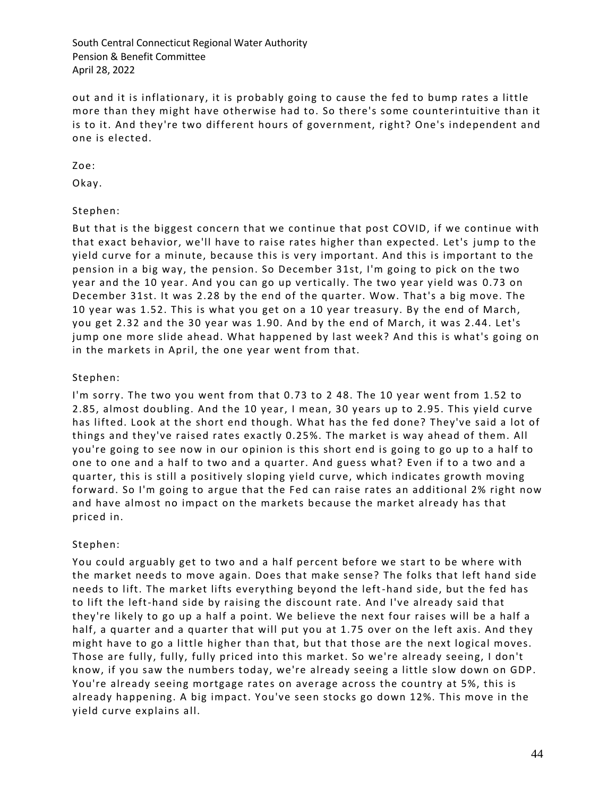out and it is inflationary, it is probably going to cause the fed to bump rates a little more than they might have otherwise had to. So there's some counterintuitive than it is to it. And they're two different hours of government, right? One's independent and one is elected.

Zoe:

Okay.

## Stephen:

But that is the biggest concern that we continue that post COVID, if we continue with that exact behavior, we'll have to raise rates higher than expected. Let's jump to the yield curve for a minute, because this is very important. And this is important to the pension in a big way, the pension. So December 31st, I'm going to pick on the two year and the 10 year. And you can go up vertically. The two year yield was 0.73 on December 31st. It was 2.28 by the end of the quarter. Wow. That's a big move. The 10 year was 1.52. This is what you get on a 10 year treasury. By the end of March, you get 2.32 and the 30 year was 1.90. And by the end of March, it was 2.44. Let's jump one more slide ahead. What happened by last week? And this is what's going on in the markets in April, the one year went from that.

### Stephen:

I'm sorry. The two you went from that 0.73 to 2 48. The 10 year went from 1.52 to 2.85, almost doubling. And the 10 year, I mean, 30 years up to 2.95. This yield curve has lifted. Look at the short end though. What has the fed done? They've said a lot of things and they've raised rates exactly 0.25%. The market is way ahead of them. All you're going to see now in our opinion is this short end is going to go up to a half to one to one and a half to two and a quarter. And guess what? Even if to a two and a quarter, this is still a positively sloping yield curve, which indicates growth moving forward. So I'm going to argue that the Fed can raise rates an additional 2% right now and have almost no impact on the markets because the market already has that priced in.

## Stephen:

You could arguably get to two and a half percent before we start to be where with the market needs to move again. Does that make sense? The folks that left hand side needs to lift. The market lifts everything beyond the left-hand side, but the fed has to lift the left-hand side by raising the discount rate. And I've already said that they're likely to go up a half a point. We believe the next four raises will be a half a half, a quarter and a quarter that will put you at 1.75 over on the left axis. And they might have to go a little higher than that, but that those are the next logical moves. Those are fully, fully, fully priced into this market. So we're already seeing, I don't know, if you saw the numbers today, we're already seeing a little slow down on GDP. You're already seeing mortgage rates on average across the country at 5%, this is already happening. A big impact. You've seen stocks go down 12%. This move in the yield curve explains all.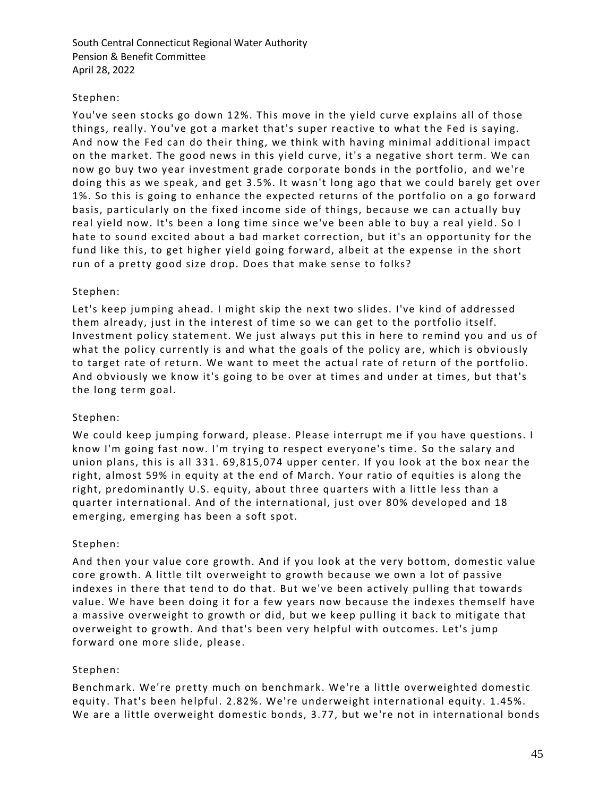## Stephen:

You've seen stocks go down 12%. This move in the yield curve explains all of those things, really. You've got a market that's super reactive to what the Fed is saying. And now the Fed can do their thing, we think with having minimal additional impact on the market. The good news in this yield curve, it's a negative short term. We can now go buy two year investment grade corporate bonds in the portfolio, and we're doing this as we speak, and get 3.5%. It wasn't long ago that we could barely get over 1%. So this is going to enhance the expected returns of the portfolio on a go forward basis, particularly on the fixed income side of things, because we can a ctually buy real yield now. It's been a long time since we've been able to buy a real yield. So I hate to sound excited about a bad market correction, but it's an opportunity for the fund like this, to get higher yield going forward, albeit at the expense in the short run of a pretty good size drop. Does that make sense to folks?

## Stephen:

Let's keep jumping ahead. I might skip the next two slides. I've kind of addressed them already, just in the interest of time so we can get to the portfolio itself. Investment policy statement. We just always put this in here to remind you and us of what the policy currently is and what the goals of the policy are, which is obviously to target rate of return. We want to meet the actual rate of return of the portfolio. And obviously we know it's going to be over at times and under at times, but that's the long term goal.

## Stephen:

We could keep jumping forward, please. Please interrupt me if you have questions. I know I'm going fast now. I'm trying to respect everyone's time. So the salary and union plans, this is all 331. 69,815,074 upper center. If you look at the box near the right, almost 59% in equity at the end of March. Your ratio of equities is along the right, predominantly U.S. equity, about three quarters with a little less than a quarter international. And of the international, just over 80% developed and 18 emerging, emerging has been a soft spot.

## Stephen:

And then your value core growth. And if you look at the very bottom, domestic value core growth. A little tilt overweight to growth because we own a lot of passive indexes in there that tend to do that. But we've been actively pulling that towards value. We have been doing it for a few years now because the indexes themself have a massive overweight to growth or did, but we keep pulling it back to mitigate that overweight to growth. And that's been very helpful with outcomes. Let's jump forward one more slide, please.

# Stephen:

Benchmark. We're pretty much on benchmark. We're a little overweighted domestic equity. That's been helpful. 2.82%. We're underweight international equity. 1.45%. We are a little overweight domestic bonds, 3.77, but we're not in international bonds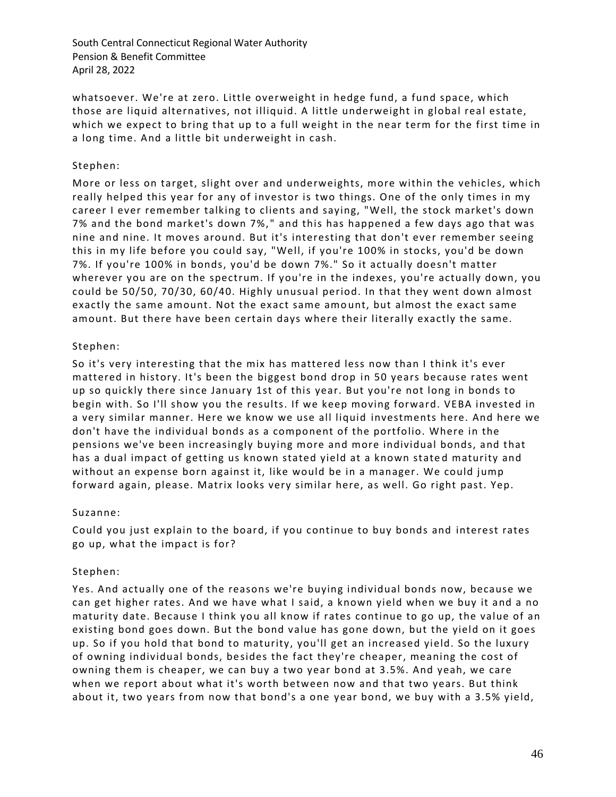whatsoever. We're at zero. Little overweight in hedge fund, a fund space, which those are liquid alternatives, not illiquid. A little underweight in global real estate, which we expect to bring that up to a full weight in the near term for the first time in a long time. And a little bit underweight in cash.

### Stephen:

More or less on target, slight over and underweights, more within the vehicles, which really helped this year for any of investor is two things. One of the only times in my career I ever remember talking to clients and saying, "Well, the stock market's down 7% and the bond market's down 7%, " and this has happened a few days ago that was nine and nine. It moves around. But it's interesting that don't ever remember seeing this in my life before you could say, "Well, if you're 100% in stocks, you'd be down 7%. If you're 100% in bonds, you'd be down 7%." So it actually doesn't matter wherever you are on the spectrum. If you're in the indexes, you're actually down, you could be 50/50, 70/30, 60/40. Highly unusual period. In that they went down almost exactly the same amount. Not the exact same amo unt, but almost the exact same amount. But there have been certain days where their literally exactly the same.

### Stephen:

So it's very interesting that the mix has mattered less now than I think it's ever mattered in history. It's been the biggest bond drop in 50 years because rates went up so quickly there since January 1st of this year. But you're not long in bonds to begin with. So I'll show you the results. If we keep moving forward. VEBA invested in a very similar manner. Here we know we use all liquid investments here. And here we don't have the individual bonds as a component of the portfolio. Where in the pensions we've been increasingly buying more and more individual bonds, and that has a dual impact of getting us known stated yield at a known state d maturity and without an expense born against it, like would be in a manager. We could jump forward again, please. Matrix looks very similar here, as well. Go right past. Yep.

#### Suzanne:

Could you just explain to the board, if you continue to buy bonds and interest rates go up, what the impact is for?

#### Stephen:

Yes. And actually one of the reasons we're buying individual bonds now, because we can get higher rates. And we have what I said, a known yield when we buy it and a no maturity date. Because I think you all know if rates continue to go up, the value of an existing bond goes down. But the bond value has gone down, but the yield on it goes up. So if you hold that bond to maturity, you'll get an increased yield. So the luxury of owning individual bonds, besides the fact they're cheaper, meaning the cost of owning them is cheaper, we can buy a two year bond at 3.5%. And yeah, we care when we report about what it's worth between now and that two years. But think about it, two years from now that bond's a one year bond, we buy with a 3.5% yield,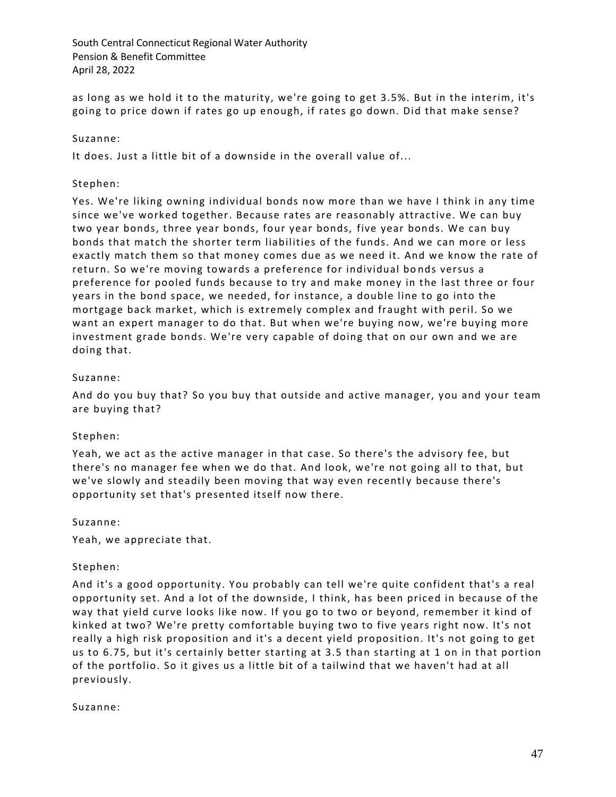as long as we hold it to the maturity, we're going to get 3.5%. But in the interim, it's going to price down if rates go up enough, if rates go down. Did that make sense?

## Suzanne:

It does. Just a little bit of a downside in the overall value of...

### Stephen:

Yes. We're liking owning individual bonds now more than we have I think in any time since we've worked together. Because rates are reasonably attractive. We can buy two year bonds, three year bonds, four year bonds, five year bonds. We can buy bonds that match the shorter term liabilities of the funds. And we can more or less exactly match them so that money comes due as we need it. And we know the rate of return. So we're moving towards a preference for individual bo nds versus a preference for pooled funds because to try and make money in the last three or four years in the bond space, we needed, for instance, a double line to go into the mortgage back market, which is extremely complex and fraught with peril. So we want an expert manager to do that. But when we're buying now, we're buying more investment grade bonds. We're very capable of doing that on our own and we are doing that.

### Suzanne:

And do you buy that? So you buy that outside and active manager, you and your team are buying that?

#### Stephen:

Yeah, we act as the active manager in that case. So there's the advisory fee, but there's no manager fee when we do that. And look, we're not going all to that, but we've slowly and steadily been moving that way even recently because there's opportunity set that's presented itself now there.

#### Suzanne:

Yeah, we appreciate that.

#### Stephen:

And it's a good opportunity. You probably can tell we're quite confident that's a real opportunity set. And a lot of the downside, I think, has been priced in because of the way that yield curve looks like now. If you go to two or beyond, remember it kind of kinked at two? We're pretty comfortable buying two to five years right now. It's not really a high risk proposition and it's a decent yield proposition. It's not going to get us to 6.75, but it's certainly better starting at 3.5 than starting at 1 on in that portion of the portfolio. So it gives us a little bit of a tailwind that we haven't had at all previously.

#### Suzanne: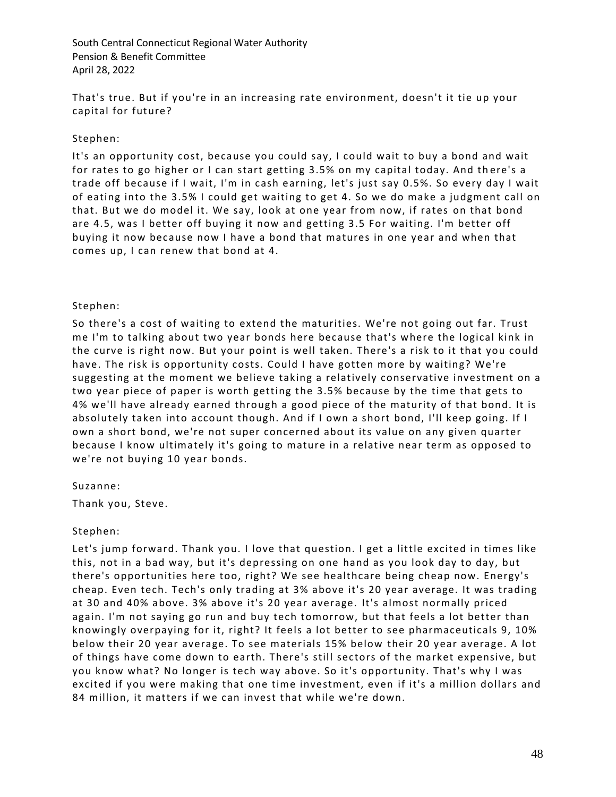That's true. But if you're in an increasing rate environment, doesn't it tie up your capital for future?

## Stephen:

It's an opportunity cost, because you could say, I could wait to buy a bond and wait for rates to go higher or I can start getting 3.5% on my capital today. And there's a trade off because if I wait, I'm in cash earning, let's just say 0.5%. So every day I wait of eating into the 3.5% I could get waiting to get 4. So we do make a judgment call on that. But we do model it. We say, look at one year from now, if rates on that bond are 4.5, was I better off buying it now and getting 3.5 For waiting. I'm better off buying it now because now I have a bond that matures in one year and when that comes up, I can renew that bond at 4.

### Stephen:

So there's a cost of waiting to extend the maturities. We're not going out far. Trust me I'm to talking about two year bonds here because that's where the logical kink in the curve is right now. But your point is well taken. There's a risk to it that you could have. The risk is opportunity costs. Could I have gotten more by waiting? We're suggesting at the moment we believe taking a relatively conservative investment on a two year piece of paper is worth getting the 3.5% because by the time that gets to 4% we'll have already earned through a good piece of the maturity of that bond. It is absolutely taken into account though. And if I own a short bond, I'll keep going. If I own a short bond, we're not super concerned about its value on any given quarter because I know ultimately it's going to mature in a relative near term as opposed to we're not buying 10 year bonds.

#### Suzanne:

Thank you, Steve.

## Stephen:

Let's jump forward. Thank you. I love that question. I get a little excited in times like this, not in a bad way, but it's depressing on one hand as you look day to day, but there's opportunities here too, right? We see healthcare being cheap now. Energy's cheap. Even tech. Tech's only trading at 3% above it's 20 year average. It was trading at 30 and 40% above. 3% above it's 20 year average. It's almost normally priced again. I'm not saying go run and buy tech tomorrow, but that feels a lot better than knowingly overpaying for it, right? It feels a lot better to see pharmaceuticals 9, 10% below their 20 year average. To see materials 15% below their 20 year average. A lot of things have come down to earth. There's still sectors of the market expensive, but you know what? No longer is tech way above. So it's opportunity. That's why I was excited if you were making that one time investment, even if it's a million dollars and 84 million, it matters if we can invest that while we're down.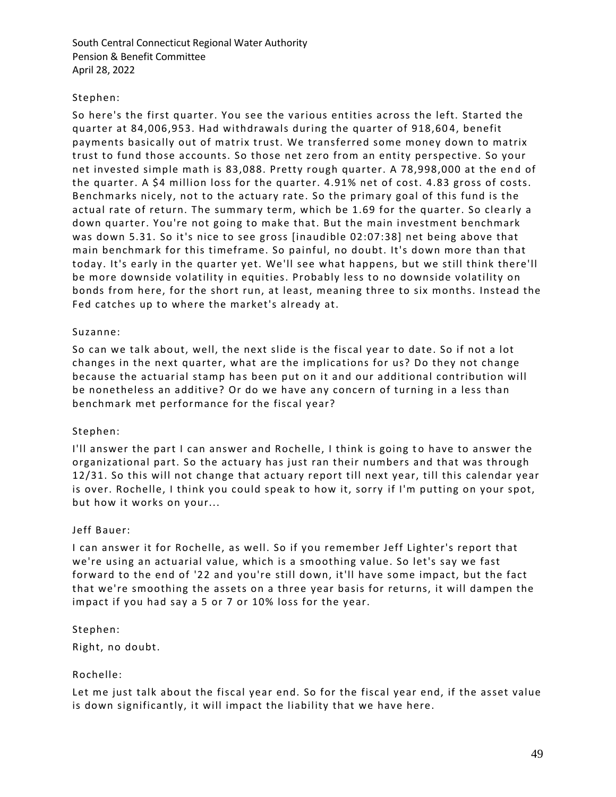### Stephen:

So here's the first quarter. You see the various entities across the left. Started the quarter at 84,006,953. Had withdrawals during the quarter of 918,60 4, benefit payments basically out of matrix trust. We transferred some money down to matrix trust to fund those accounts. So those net zero from an entity perspective. So your net invested simple math is 83,088. Pretty rough quarter. A 78,998,000 at the en d of the quarter. A \$4 million loss for the quarter. 4.91% net of cost. 4.83 gross of costs. Benchmarks nicely, not to the actuary rate. So the primary goal of this fund is the actual rate of return. The summary term, which be 1.69 for the quarter. So clea rly a down quarter. You're not going to make that. But the main investment benchmark was down 5.31. So it's nice to see gross [inaudible 02:07:38] net being above that main benchmark for this timeframe. So painful, no doubt. It's down more than that today. It's early in the quarter yet. We'll see what happens, but we still think there'll be more downside volatility in equities. Probably less to no downside volatility on bonds from here, for the short run, at least, meaning three to six months. Instead the Fed catches up to where the market's already at.

#### Suzanne:

So can we talk about, well, the next slide is the fiscal year to date. So if not a lot changes in the next quarter, what are the implications for us? Do they not change because the actuarial stamp has been put on it and our additional contribution will be nonetheless an additive? Or do we have any concern of turning in a less than benchmark met performance for the fiscal year?

#### Stephen:

I'll answer the part I can answer and Rochelle, I think is going to have to answer the organizational part. So the actuary has just ran their numbers and that was through 12/31. So this will not change that actuary report till next year, till this calendar year is over. Rochelle, I think you could speak to how it, sorry if I'm putting on your spot, but how it works on your...

#### Jeff Bauer:

I can answer it for Rochelle, as well. So if you remember Jeff Lighter's report that we're using an actuarial value, which is a smoothing value. So let's say we fast forward to the end of '22 and you're still down, it'll have some impact, but the fact that we're smoothing the assets on a three year basis for returns, it will dampen the impact if you had say a 5 or 7 or 10% loss for the year.

#### Stephen:

Right, no doubt.

#### Rochelle:

Let me just talk about the fiscal year end. So for the fiscal year end, if the asset value is down significantly, it will impact the liability that we have here.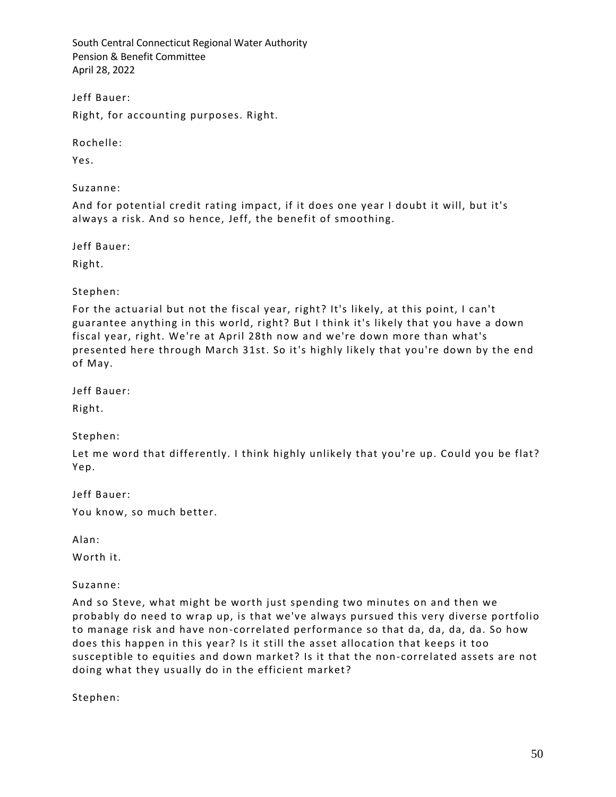Jeff Bauer:

Right, for accounting purposes. Right.

Rochelle:

Yes.

Suzanne:

And for potential credit rating impact, if it does one year I doubt it will, but it's always a risk. And so hence, Jeff, the benefit of smoothing.

Jeff Bauer:

Right.

Stephen:

For the actuarial but not the fiscal year, right? It's likely, at this point, I can't guarantee anything in this world, right? But I think it's likely that you have a down fiscal year, right. We're at April 28th now and we're down more than what's presented here through March 31st. So it's highly likely that you're down by the end of May.

Jeff Bauer:

Right.

Stephen:

Let me word that differently. I think highly unlikely that you're up. Could you be flat? Yep.

Jeff Bauer: You know, so much better.

Alan:

Worth it.

Suzanne:

And so Steve, what might be worth just spending two minutes on and then we probably do need to wrap up, is that we've always pursued this very diverse portfolio to manage risk and have non-correlated performance so that da, da, da, da. So how does this happen in this year? Is it still the asset allocation that keeps it too susceptible to equities and down market? Is it that the non-correlated assets are not doing what they usually do in the efficient market?

Stephen: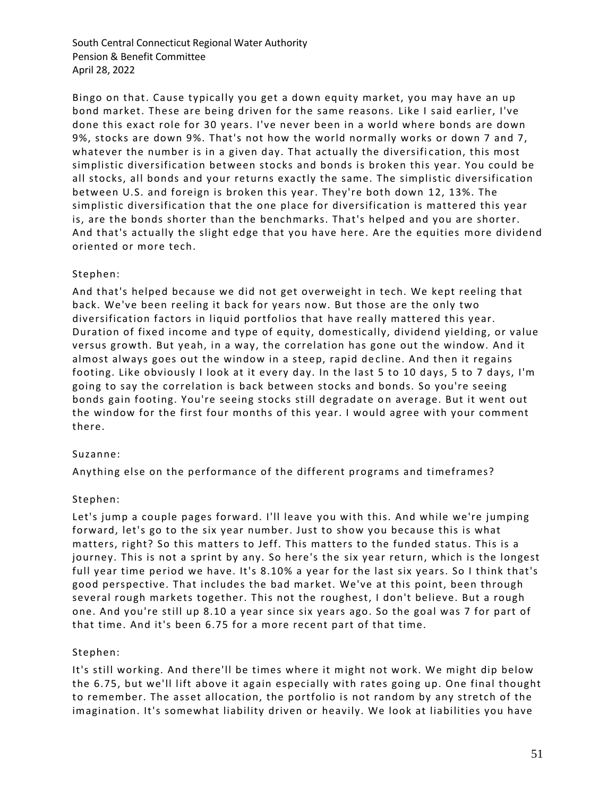Bingo on that. Cause typically you get a down equity market, you may have an up bond market. These are being driven for the same reasons. Like I said earlier, I've done this exact role for 30 years. I've never been in a world where bonds are down 9%, stocks are down 9%. That's not how the world normally works or down 7 and 7, whatever the number is in a given day. That actually the diversification, this most simplistic diversification between stocks and bonds is broken this year. You could be all stocks, all bonds and your returns exactly the same. The simplistic diversification between U.S. and foreign is broken this year. They're both down 12, 13%. The simplistic diversification that the one place for diversification is mattered this year is, are the bonds shorter than the benchmarks. That's helped and you are shorter. And that's actually the slight edge that you have here. Are the equities more dividend oriented or more tech.

## Stephen:

And that's helped because we did not get overweight in tech. We kept reeling that back. We've been reeling it back for years now. But those are the only two diversification factors in liquid portfolios that have really mattered this year. Duration of fixed income and type of equity, domestically, dividend yielding, or value versus growth. But yeah, in a way, the correlation has gone out the window. And it almost always goes out the window in a steep, rapid de cline. And then it regains footing. Like obviously I look at it every day. In the last 5 to 10 days, 5 to 7 days, I'm going to say the correlation is back between stocks and bonds. So you're seeing bonds gain footing. You're seeing stocks still degradate on average. But it went out the window for the first four months of this year. I would agree with your comment there.

#### Suzanne:

Anything else on the performance of the different programs and timeframes?

#### Stephen:

Let's jump a couple pages forward. I'll leave you with this. And while we're jumping forward, let's go to the six year number. Just to show you because this is what matters, right? So this matters to Jeff. This matters to the funded status. This is a journey. This is not a sprint by any. So here's the six year return, which is the longest full year time period we have. It's 8.10% a year for the last six years. So I think that's good perspective. That includes the bad market. We've at this point, been through several rough markets together. This not the roughest, I don't believe. But a rough one. And you're still up 8.10 a year since six years ago. So the goal was 7 for part of that time. And it's been 6.75 for a more recent part of that time.

#### Stephen:

It's still working. And there'll be times where it might not work. We might dip below the 6.75, but we'll lift above it again especially with rates going up. One final thought to remember. The asset allocation, the portfolio is not random by any stretch of the imagination. It's somewhat liability driven or heavily. We look at liabilities you have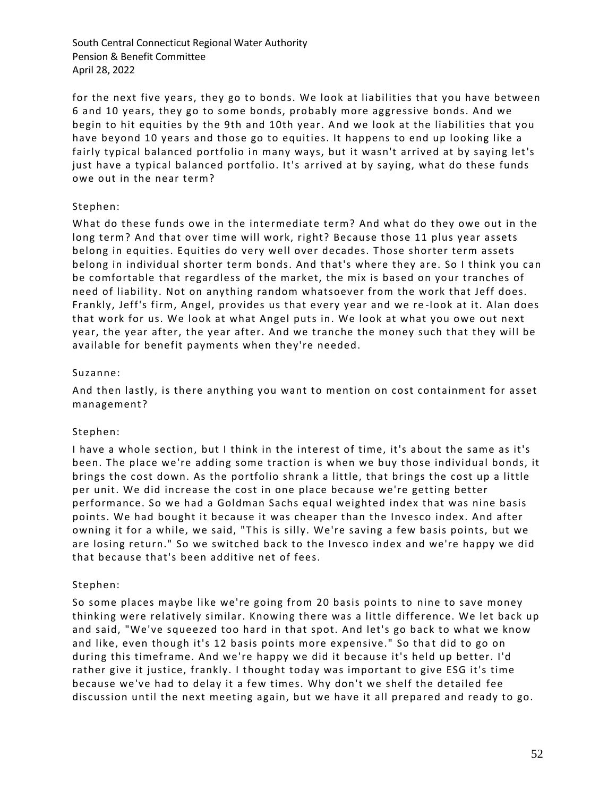for the next five years, they go to bonds. We look at liabilities that you have between 6 and 10 years, they go to some bonds, probably more aggressive bonds. And we begin to hit equities by the 9th and 10th year. A nd we look at the liabilities that you have beyond 10 years and those go to equities. It happens to end up looking like a fairly typical balanced portfolio in many ways, but it wasn't arrived at by saying let's just have a typical balanced portfolio. It's arrived at by saying, what do these funds owe out in the near term?

## Stephen:

What do these funds owe in the intermediate term? And what do they owe out in the long term? And that over time will work, right? Because those 11 plus year assets belong in equities. Equities do very well over decades. Those shorter term assets belong in individual shorter term bonds. And that's where they are. So I think you can be comfortable that regardless of the market, the mix is based on your tranches of need of liability. Not on anything random whatsoever from the work that Jeff does. Frankly, Jeff's firm, Angel, provides us that every year and we re -look at it. Alan does that work for us. We look at what Angel puts in. We look at what you owe out next year, the year after, the year after. And we tranche the money such that they will be available for benefit payments when they're needed.

### Suzanne:

And then lastly, is there anything you want to mention on cost containment for asset management?

## Stephen:

I have a whole section, but I think in the interest of time, it's about the same as it's been. The place we're adding some traction is when we buy those individual bonds, it brings the cost down. As the portfolio shrank a little, that brings the cost up a little per unit. We did increase the cost in one place because we're getting better performance. So we had a Goldman Sachs equal weighted index that was nine basis points. We had bought it because it was cheaper than the Invesco index. And after owning it for a while, we said, "This is silly. We're saving a few basis points, but we are losing return." So we switched back to the Invesco index and we're happy we did that because that's been additive net of fees.

#### Stephen:

So some places maybe like we're going from 20 basis points to nine to save money thinking were relatively similar. Knowing there was a little difference. We let back up and said, "We've squeezed too hard in that spot. And let's go back to what we know and like, even though it's 12 basis points more expensive." So that did to go on during this timeframe. And we're happy we did it because it's held up better. I'd rather give it justice, frankly. I thought today was important to give ESG it's time because we've had to delay it a few times. Why don't we shelf the detailed fee discussion until the next meeting again, but we have it all prepared and ready to go.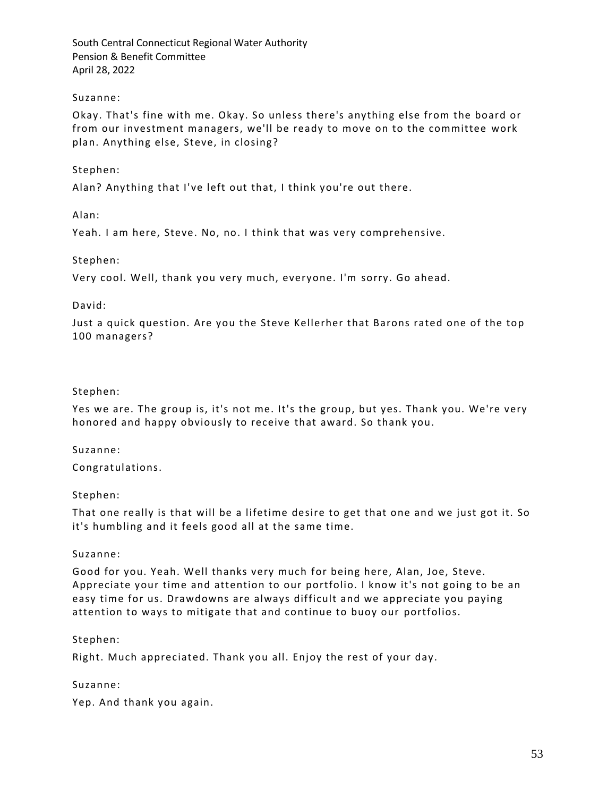### Suzanne:

Okay. That's fine with me. Okay. So unless there's anything else from the board or from our investment managers, we'll be ready to move on to the committee work plan. Anything else, Steve, in closing?

### Stephen:

Alan? Anything that I've left out that, I think you're out there.

Alan:

Yeah. I am here, Steve. No, no. I think that was very comprehensive.

#### Stephen:

Very cool. Well, thank you very much, everyone. I'm sorry. Go ahead.

#### David:

Just a quick question. Are you the Steve Kellerher that Barons rated one of the top 100 managers?

#### Stephen:

Yes we are. The group is, it's not me. It's the group, but yes. Thank you. We're very honored and happy obviously to receive that award. So thank you.

#### Suzanne:

Congratulations.

#### Stephen:

That one really is that will be a lifetime desire to get that one and we just got it. So it's humbling and it feels good all at the same time.

#### Suzanne:

Good for you. Yeah. Well thanks very much for being here, Alan, Joe, Steve. Appreciate your time and attention to our portfolio. I know it's not going to be an easy time for us. Drawdowns are always difficult and we appreciate you paying attention to ways to mitigate that and continue to buoy our portfolios.

#### Stephen:

Right. Much appreciated. Thank you all. Enjoy the rest of your day.

#### Suzanne:

Yep. And thank you again.